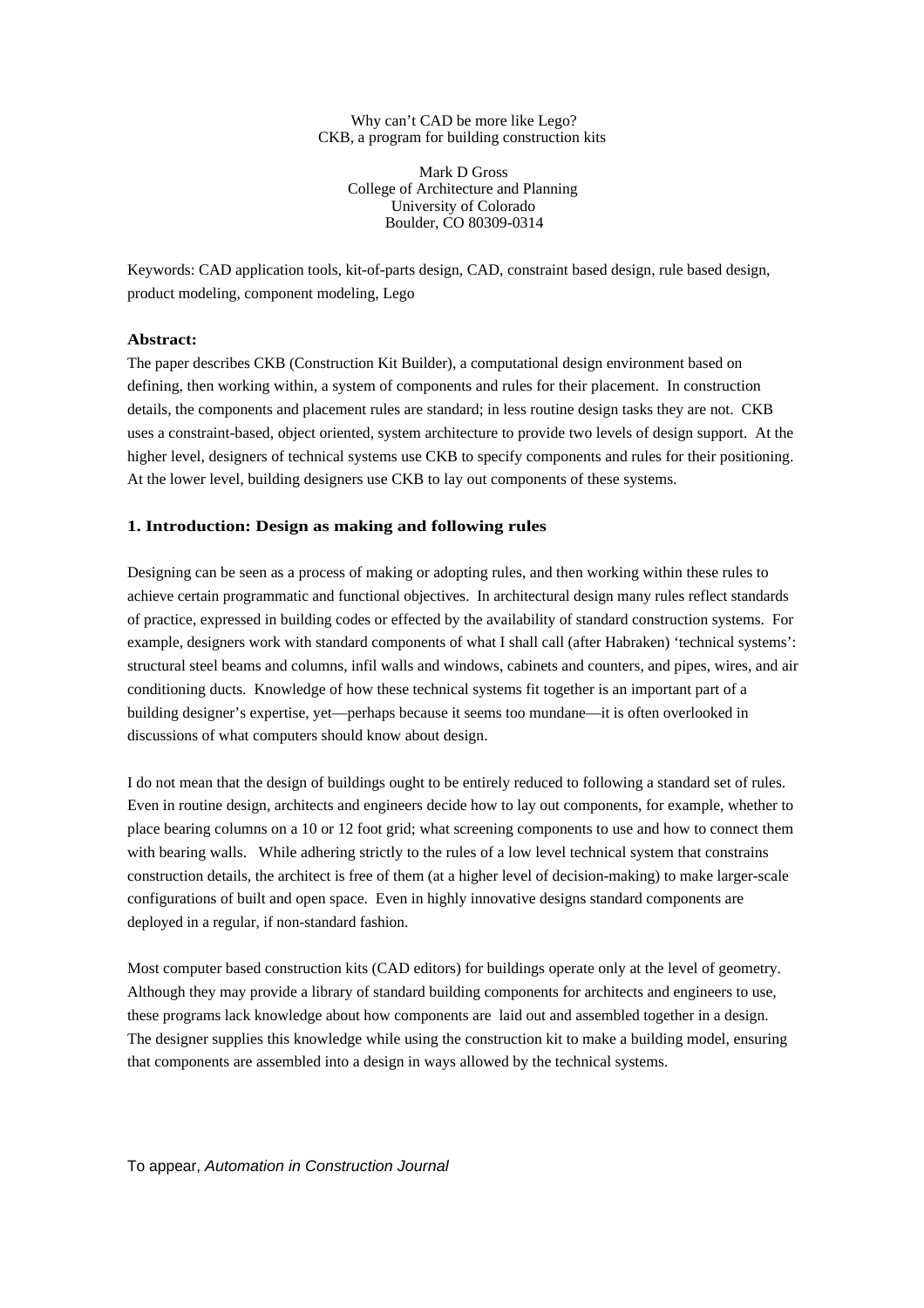#### Why can't CAD be more like Lego? CKB, a program for building construction kits

Mark D Gross College of Architecture and Planning University of Colorado Boulder, CO 80309-0314

Keywords: CAD application tools, kit-of-parts design, CAD, constraint based design, rule based design, product modeling, component modeling, Lego

## **Abstract:**

The paper describes CKB (Construction Kit Builder), a computational design environment based on defining, then working within, a system of components and rules for their placement. In construction details, the components and placement rules are standard; in less routine design tasks they are not. CKB uses a constraint-based, object oriented, system architecture to provide two levels of design support. At the higher level, designers of technical systems use CKB to specify components and rules for their positioning. At the lower level, building designers use CKB to lay out components of these systems.

## **1. Introduction: Design as making and following rules**

Designing can be seen as a process of making or adopting rules, and then working within these rules to achieve certain programmatic and functional objectives. In architectural design many rules reflect standards of practice, expressed in building codes or effected by the availability of standard construction systems. For example, designers work with standard components of what I shall call (after Habraken) 'technical systems': structural steel beams and columns, infil walls and windows, cabinets and counters, and pipes, wires, and air conditioning ducts. Knowledge of how these technical systems fit together is an important part of a building designer's expertise, yet—perhaps because it seems too mundane—it is often overlooked in discussions of what computers should know about design.

I do not mean that the design of buildings ought to be entirely reduced to following a standard set of rules. Even in routine design, architects and engineers decide how to lay out components, for example, whether to place bearing columns on a 10 or 12 foot grid; what screening components to use and how to connect them with bearing walls. While adhering strictly to the rules of a low level technical system that constrains construction details, the architect is free of them (at a higher level of decision-making) to make larger-scale configurations of built and open space. Even in highly innovative designs standard components are deployed in a regular, if non-standard fashion.

Most computer based construction kits (CAD editors) for buildings operate only at the level of geometry. Although they may provide a library of standard building components for architects and engineers to use, these programs lack knowledge about how components are laid out and assembled together in a design. The designer supplies this knowledge while using the construction kit to make a building model, ensuring that components are assembled into a design in ways allowed by the technical systems.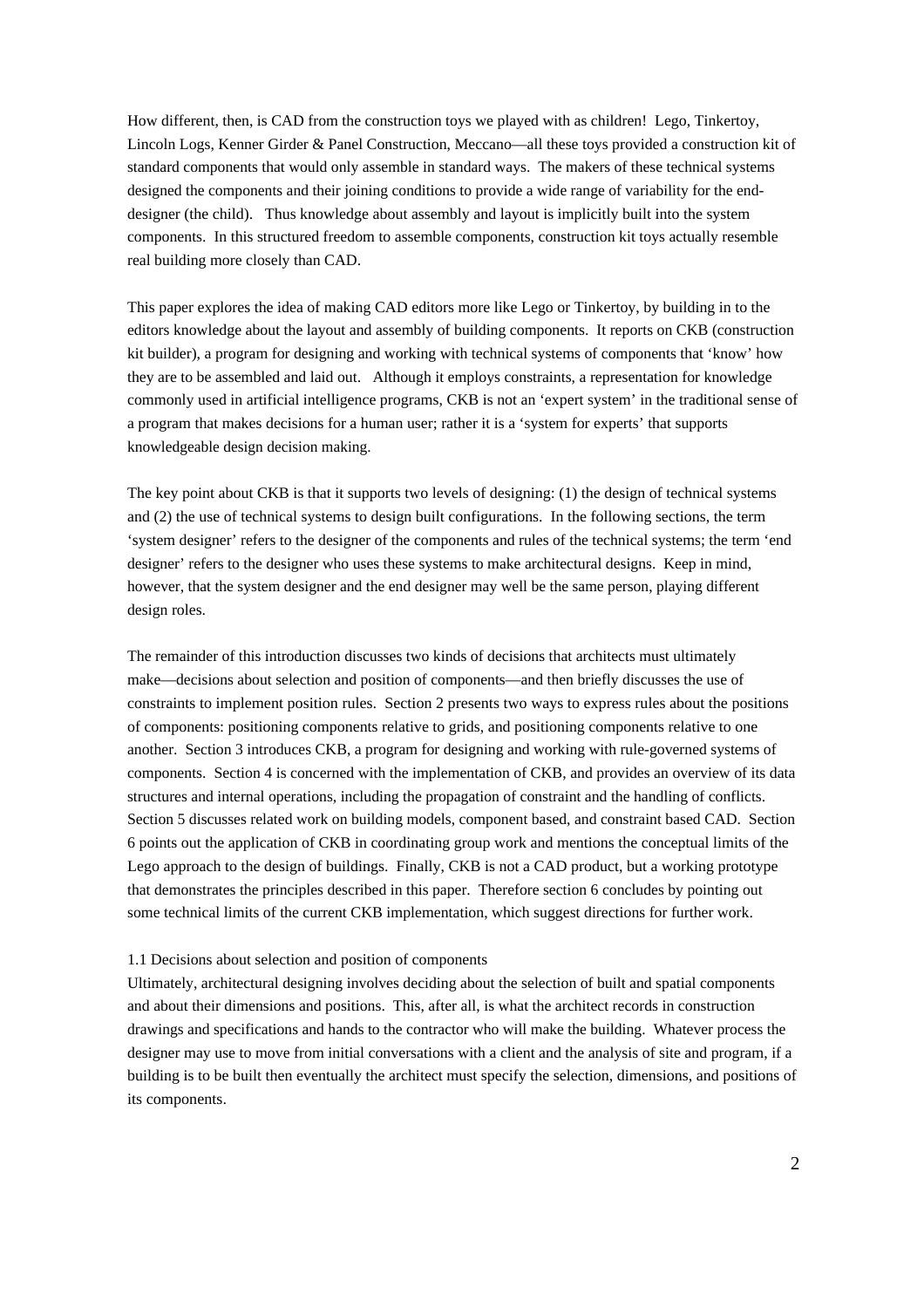How different, then, is CAD from the construction toys we played with as children! Lego, Tinkertoy, Lincoln Logs, Kenner Girder & Panel Construction, Meccano—all these toys provided a construction kit of standard components that would only assemble in standard ways. The makers of these technical systems designed the components and their joining conditions to provide a wide range of variability for the enddesigner (the child). Thus knowledge about assembly and layout is implicitly built into the system components. In this structured freedom to assemble components, construction kit toys actually resemble real building more closely than CAD.

This paper explores the idea of making CAD editors more like Lego or Tinkertoy, by building in to the editors knowledge about the layout and assembly of building components. It reports on CKB (construction kit builder), a program for designing and working with technical systems of components that 'know' how they are to be assembled and laid out. Although it employs constraints, a representation for knowledge commonly used in artificial intelligence programs, CKB is not an 'expert system' in the traditional sense of a program that makes decisions for a human user; rather it is a 'system for experts' that supports knowledgeable design decision making.

The key point about CKB is that it supports two levels of designing: (1) the design of technical systems and (2) the use of technical systems to design built configurations. In the following sections, the term 'system designer' refers to the designer of the components and rules of the technical systems; the term 'end designer' refers to the designer who uses these systems to make architectural designs. Keep in mind, however, that the system designer and the end designer may well be the same person, playing different design roles.

The remainder of this introduction discusses two kinds of decisions that architects must ultimately make—decisions about selection and position of components—and then briefly discusses the use of constraints to implement position rules. Section 2 presents two ways to express rules about the positions of components: positioning components relative to grids, and positioning components relative to one another. Section 3 introduces CKB, a program for designing and working with rule-governed systems of components. Section 4 is concerned with the implementation of CKB, and provides an overview of its data structures and internal operations, including the propagation of constraint and the handling of conflicts. Section 5 discusses related work on building models, component based, and constraint based CAD. Section 6 points out the application of CKB in coordinating group work and mentions the conceptual limits of the Lego approach to the design of buildings. Finally, CKB is not a CAD product, but a working prototype that demonstrates the principles described in this paper. Therefore section 6 concludes by pointing out some technical limits of the current CKB implementation, which suggest directions for further work.

#### 1.1 Decisions about selection and position of components

Ultimately, architectural designing involves deciding about the selection of built and spatial components and about their dimensions and positions. This, after all, is what the architect records in construction drawings and specifications and hands to the contractor who will make the building. Whatever process the designer may use to move from initial conversations with a client and the analysis of site and program, if a building is to be built then eventually the architect must specify the selection, dimensions, and positions of its components.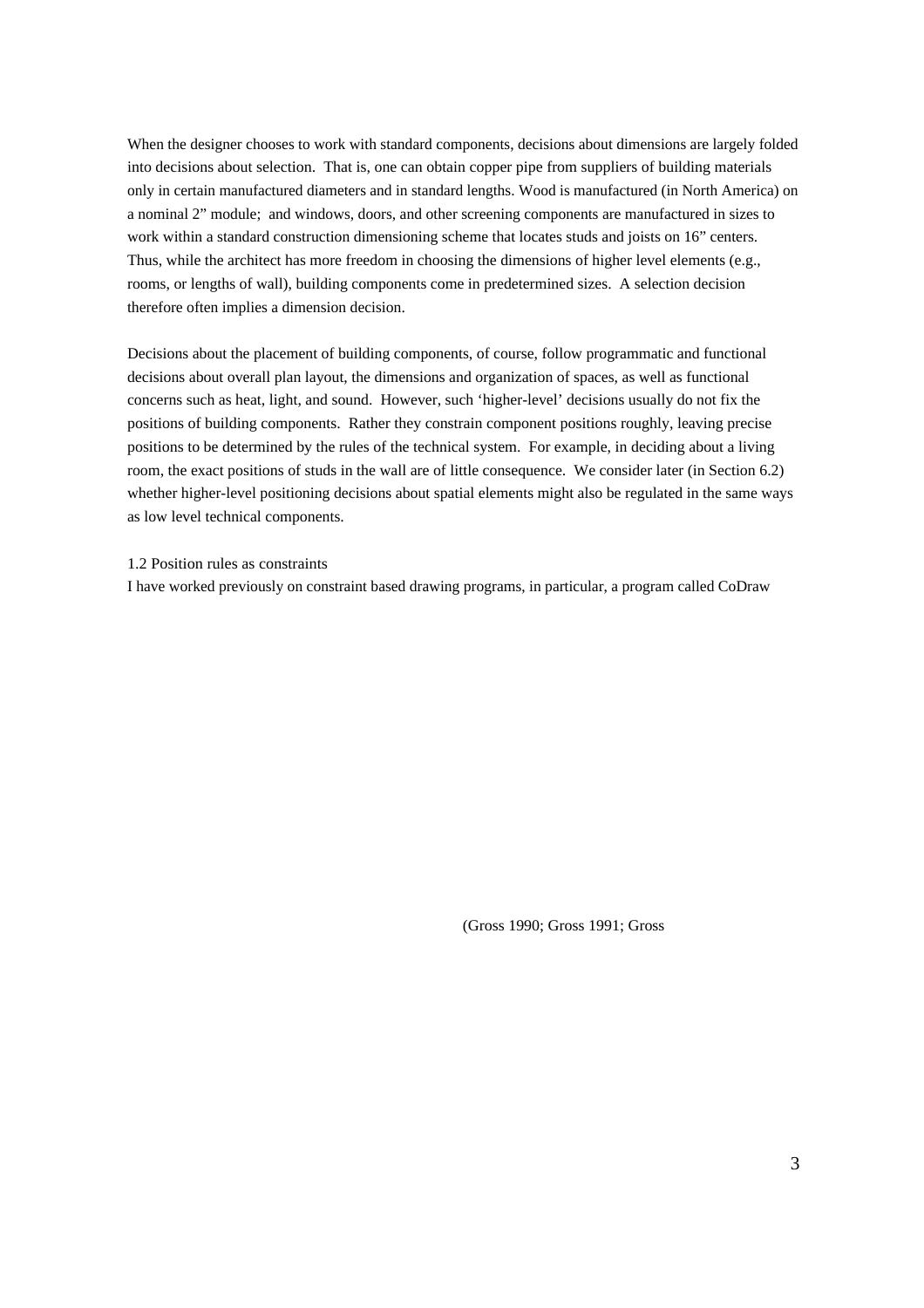When the designer chooses to work with standard components, decisions about dimensions are largely folded into decisions about selection. That is, one can obtain copper pipe from suppliers of building materials only in certain manufactured diameters and in standard lengths. Wood is manufactured (in North America) on a nominal 2" module; and windows, doors, and other screening components are manufactured in sizes to work within a standard construction dimensioning scheme that locates studs and joists on 16" centers. Thus, while the architect has more freedom in choosing the dimensions of higher level elements (e.g., rooms, or lengths of wall), building components come in predetermined sizes. A selection decision therefore often implies a dimension decision.

Decisions about the placement of building components, of course, follow programmatic and functional decisions about overall plan layout, the dimensions and organization of spaces, as well as functional concerns such as heat, light, and sound. However, such 'higher-level' decisions usually do not fix the positions of building components. Rather they constrain component positions roughly, leaving precise positions to be determined by the rules of the technical system. For example, in deciding about a living room, the exact positions of studs in the wall are of little consequence. We consider later (in Section 6.2) whether higher-level positioning decisions about spatial elements might also be regulated in the same ways as low level technical components.

## 1.2 Position rules as constraints

I have worked previously on constraint based drawing programs, in particular, a program called CoDraw

(Gross 1990; Gross 1991; Gross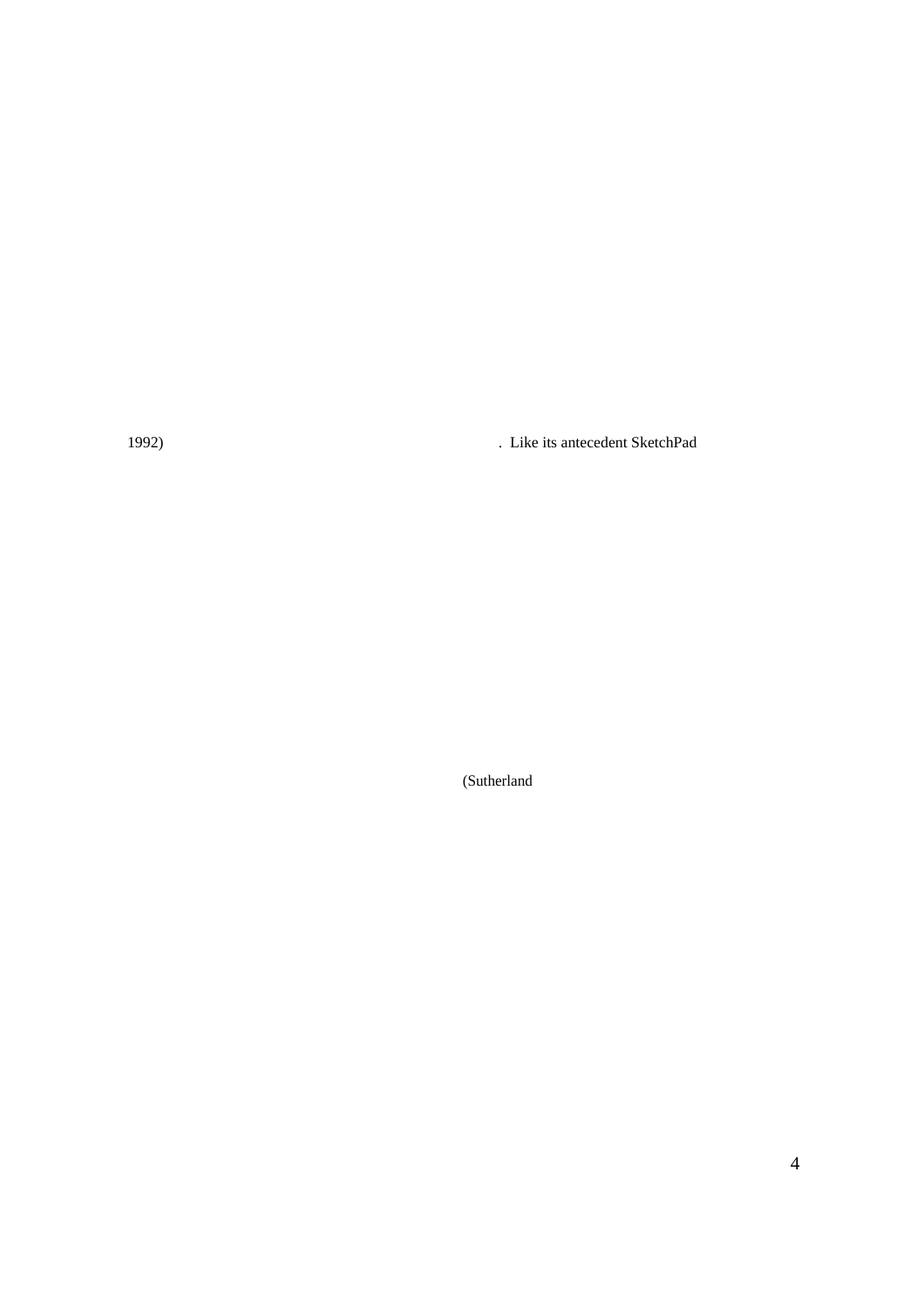1992) . Like its antecedent SketchPad

(Sutherland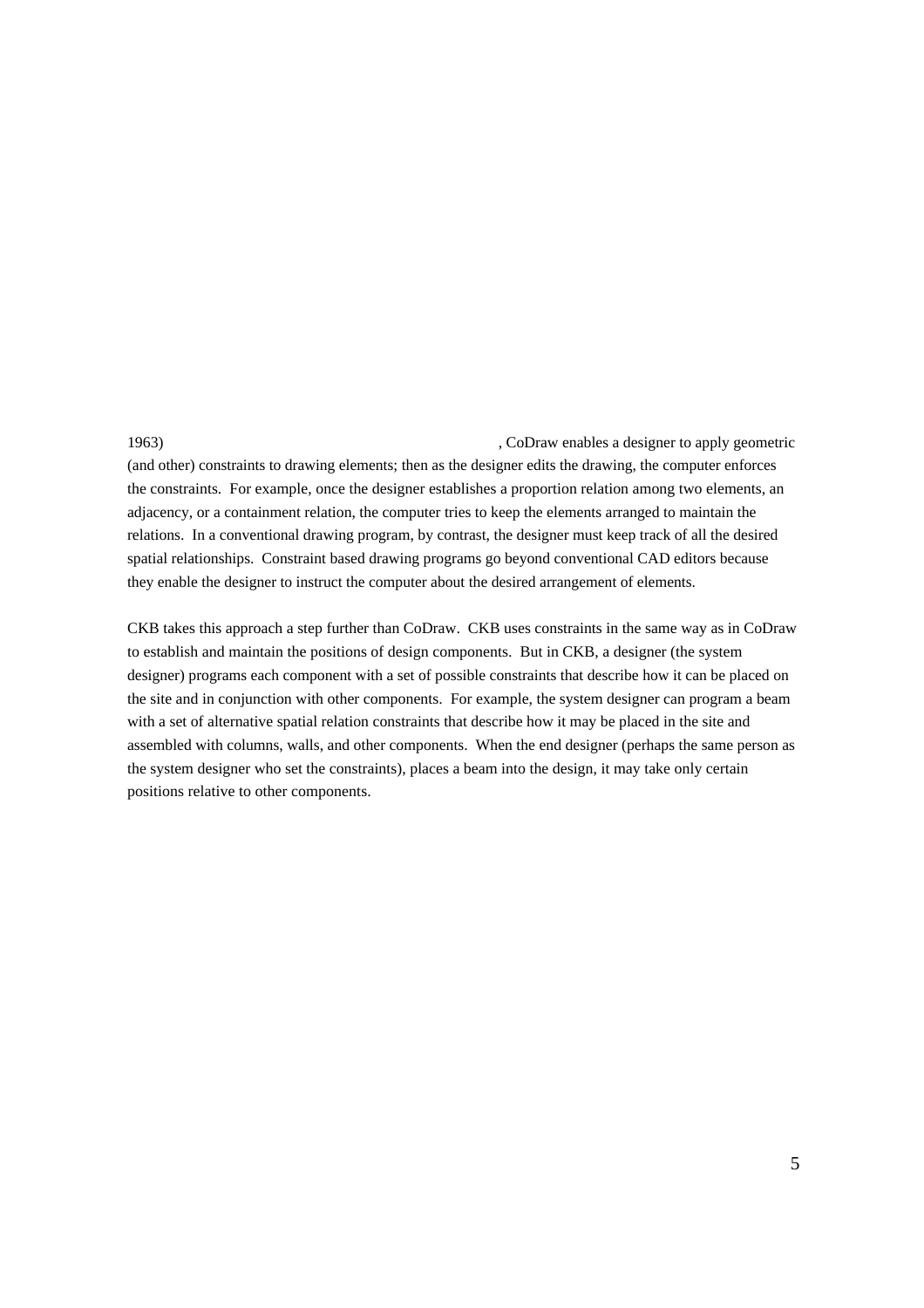1963) , CoDraw enables a designer to apply geometric (and other) constraints to drawing elements; then as the designer edits the drawing, the computer enforces the constraints. For example, once the designer establishes a proportion relation among two elements, an adjacency, or a containment relation, the computer tries to keep the elements arranged to maintain the relations. In a conventional drawing program, by contrast, the designer must keep track of all the desired spatial relationships. Constraint based drawing programs go beyond conventional CAD editors because they enable the designer to instruct the computer about the desired arrangement of elements.

CKB takes this approach a step further than CoDraw. CKB uses constraints in the same way as in CoDraw to establish and maintain the positions of design components. But in CKB, a designer (the system designer) programs each component with a set of possible constraints that describe how it can be placed on the site and in conjunction with other components. For example, the system designer can program a beam with a set of alternative spatial relation constraints that describe how it may be placed in the site and assembled with columns, walls, and other components. When the end designer (perhaps the same person as the system designer who set the constraints), places a beam into the design, it may take only certain positions relative to other components.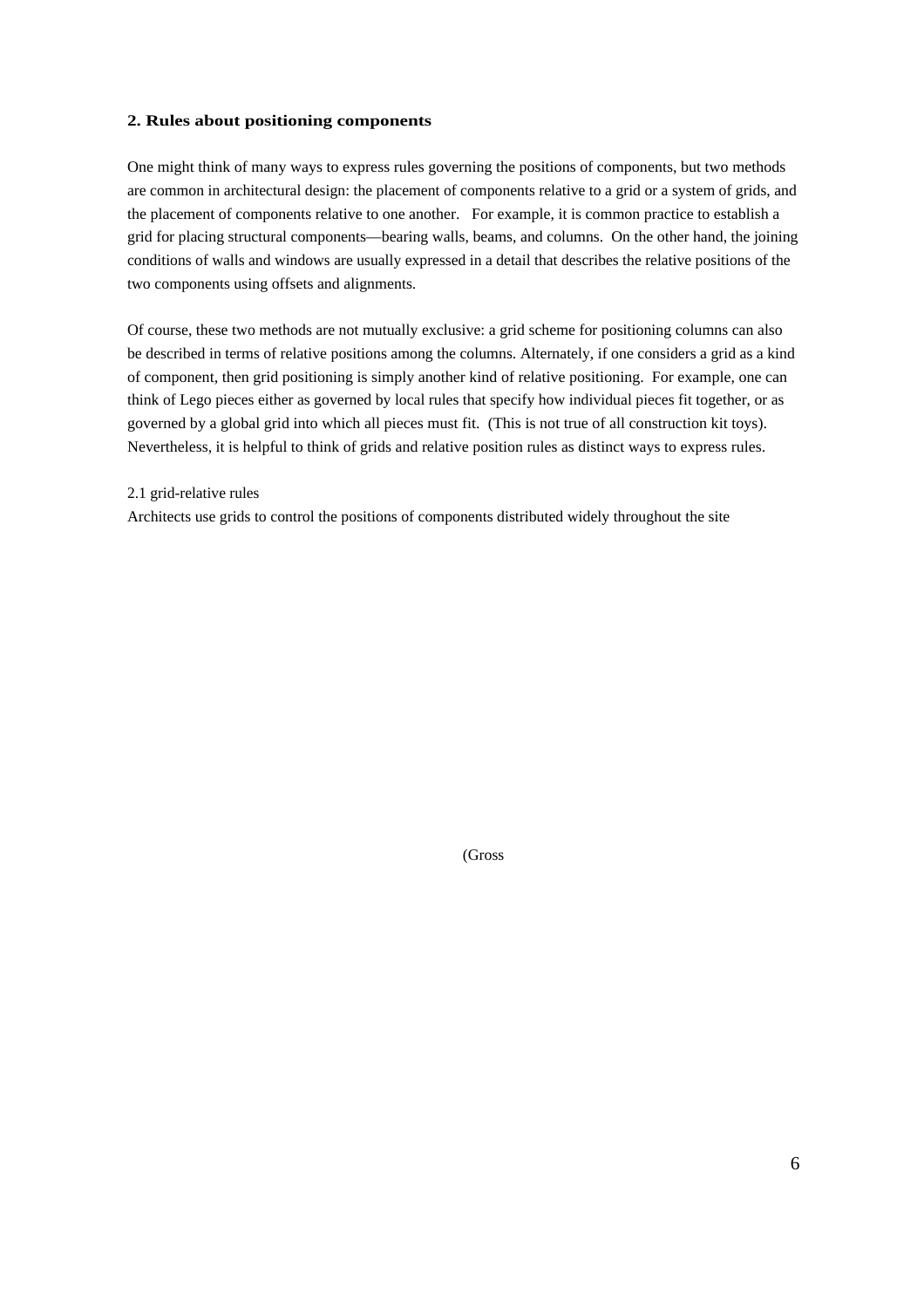#### **2. Rules about positioning components**

One might think of many ways to express rules governing the positions of components, but two methods are common in architectural design: the placement of components relative to a grid or a system of grids, and the placement of components relative to one another. For example, it is common practice to establish a grid for placing structural components—bearing walls, beams, and columns. On the other hand, the joining conditions of walls and windows are usually expressed in a detail that describes the relative positions of the two components using offsets and alignments.

Of course, these two methods are not mutually exclusive: a grid scheme for positioning columns can also be described in terms of relative positions among the columns. Alternately, if one considers a grid as a kind of component, then grid positioning is simply another kind of relative positioning. For example, one can think of Lego pieces either as governed by local rules that specify how individual pieces fit together, or as governed by a global grid into which all pieces must fit. (This is not true of all construction kit toys). Nevertheless, it is helpful to think of grids and relative position rules as distinct ways to express rules.

## 2.1 grid-relative rules

Architects use grids to control the positions of components distributed widely throughout the site

(Gross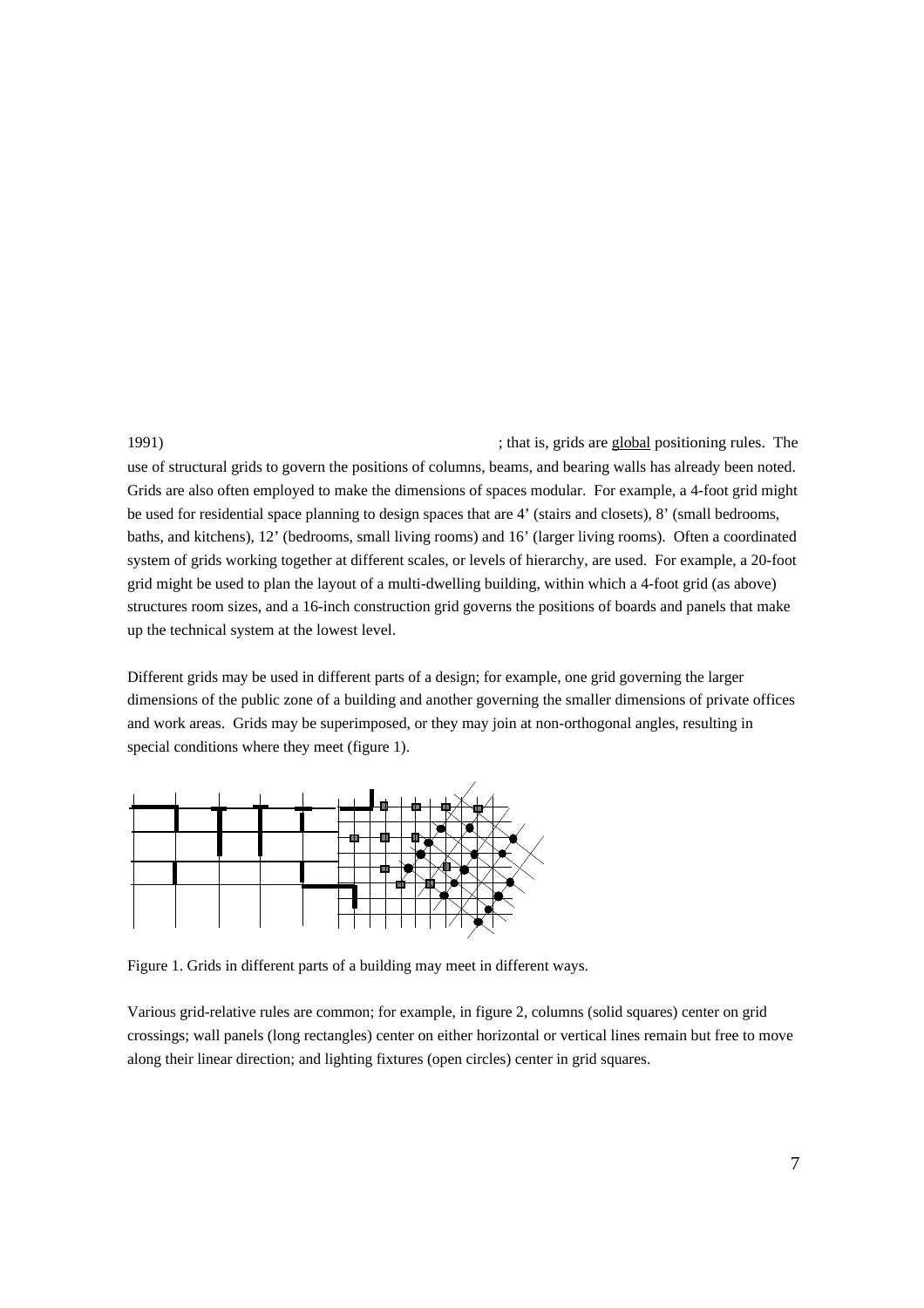1991) ; that is, grids are global positioning rules. The use of structural grids to govern the positions of columns, beams, and bearing walls has already been noted. Grids are also often employed to make the dimensions of spaces modular. For example, a 4-foot grid might be used for residential space planning to design spaces that are 4' (stairs and closets), 8' (small bedrooms, baths, and kitchens), 12' (bedrooms, small living rooms) and 16' (larger living rooms). Often a coordinated system of grids working together at different scales, or levels of hierarchy, are used. For example, a 20-foot grid might be used to plan the layout of a multi-dwelling building, within which a 4-foot grid (as above) structures room sizes, and a 16-inch construction grid governs the positions of boards and panels that make up the technical system at the lowest level.

Different grids may be used in different parts of a design; for example, one grid governing the larger dimensions of the public zone of a building and another governing the smaller dimensions of private offices and work areas. Grids may be superimposed, or they may join at non-orthogonal angles, resulting in special conditions where they meet (figure 1).



Figure 1. Grids in different parts of a building may meet in different ways.

Various grid-relative rules are common; for example, in figure 2, columns (solid squares) center on grid crossings; wall panels (long rectangles) center on either horizontal or vertical lines remain but free to move along their linear direction; and lighting fixtures (open circles) center in grid squares.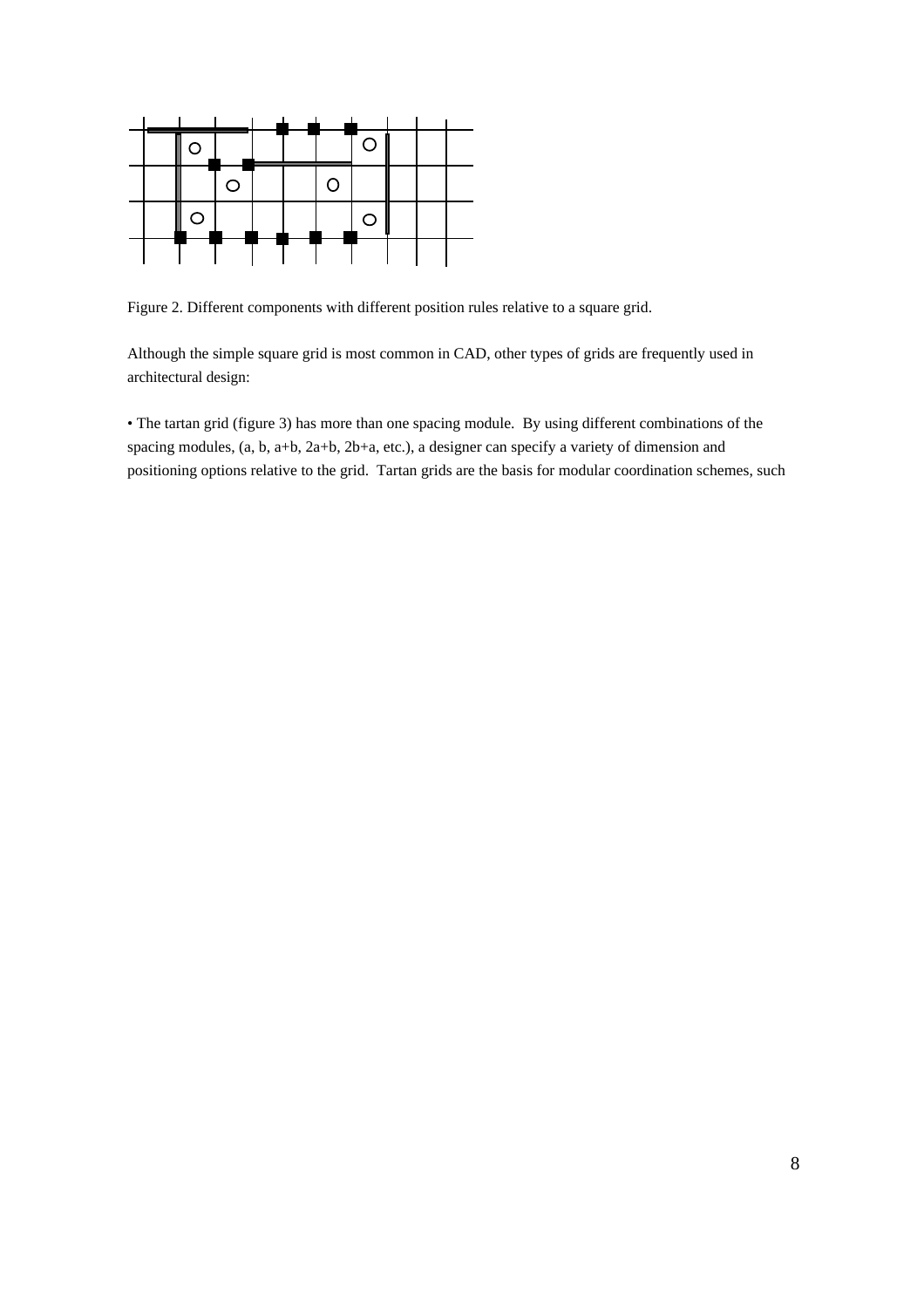

Figure 2. Different components with different position rules relative to a square grid.

Although the simple square grid is most common in CAD, other types of grids are frequently used in architectural design:

• The tartan grid (figure 3) has more than one spacing module. By using different combinations of the spacing modules, (a, b, a+b, 2a+b, 2b+a, etc.), a designer can specify a variety of dimension and positioning options relative to the grid. Tartan grids are the basis for modular coordination schemes, such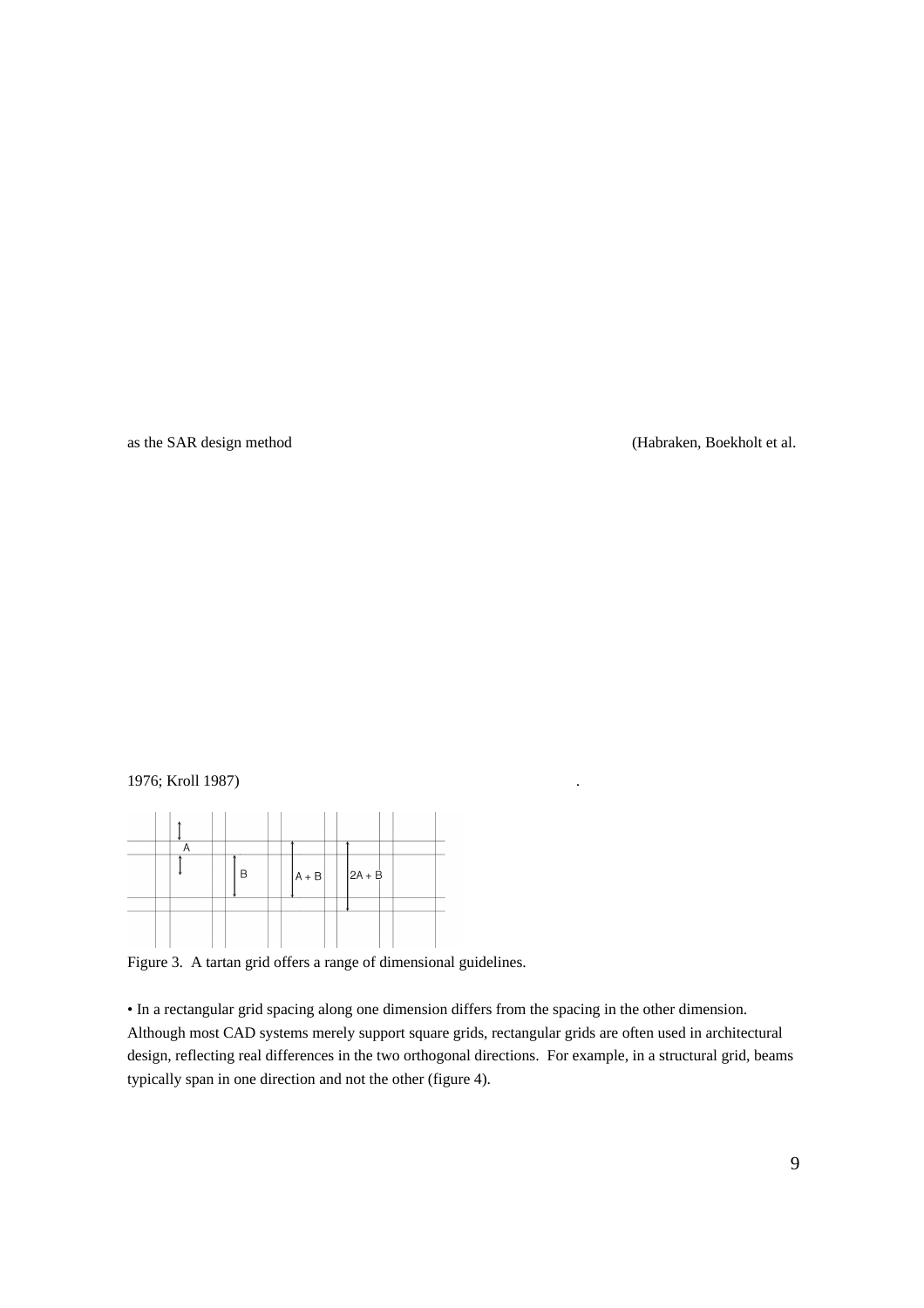as the SAR design method (Habraken, Boekholt et al.

# 1976; Kroll 1987) .



Figure 3. A tartan grid offers a range of dimensional guidelines.

• In a rectangular grid spacing along one dimension differs from the spacing in the other dimension. Although most CAD systems merely support square grids, rectangular grids are often used in architectural design, reflecting real differences in the two orthogonal directions. For example, in a structural grid, beams typically span in one direction and not the other (figure 4).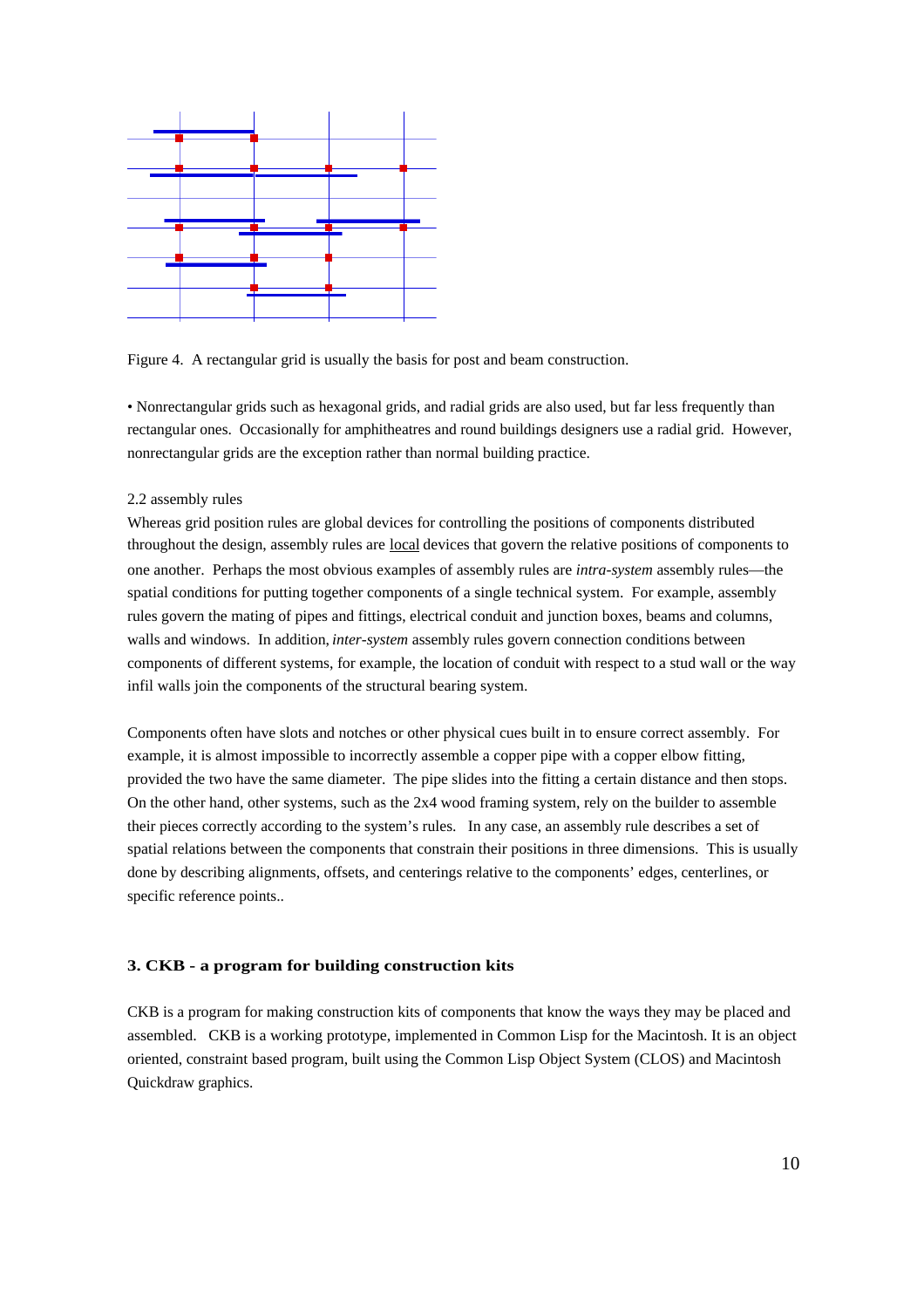

Figure 4. A rectangular grid is usually the basis for post and beam construction.

• Nonrectangular grids such as hexagonal grids, and radial grids are also used, but far less frequently than rectangular ones. Occasionally for amphitheatres and round buildings designers use a radial grid. However, nonrectangular grids are the exception rather than normal building practice.

#### 2.2 assembly rules

Whereas grid position rules are global devices for controlling the positions of components distributed throughout the design, assembly rules are local devices that govern the relative positions of components to one another. Perhaps the most obvious examples of assembly rules are *intra-system* assembly rules—the spatial conditions for putting together components of a single technical system. For example, assembly rules govern the mating of pipes and fittings, electrical conduit and junction boxes, beams and columns, walls and windows. In addition, *inter-system* assembly rules govern connection conditions between components of different systems, for example, the location of conduit with respect to a stud wall or the way infil walls join the components of the structural bearing system.

Components often have slots and notches or other physical cues built in to ensure correct assembly. For example, it is almost impossible to incorrectly assemble a copper pipe with a copper elbow fitting, provided the two have the same diameter. The pipe slides into the fitting a certain distance and then stops. On the other hand, other systems, such as the 2x4 wood framing system, rely on the builder to assemble their pieces correctly according to the system's rules. In any case, an assembly rule describes a set of spatial relations between the components that constrain their positions in three dimensions. This is usually done by describing alignments, offsets, and centerings relative to the components' edges, centerlines, or specific reference points..

# **3. CKB - a program for building construction kits**

CKB is a program for making construction kits of components that know the ways they may be placed and assembled. CKB is a working prototype, implemented in Common Lisp for the Macintosh. It is an object oriented, constraint based program, built using the Common Lisp Object System (CLOS) and Macintosh Quickdraw graphics.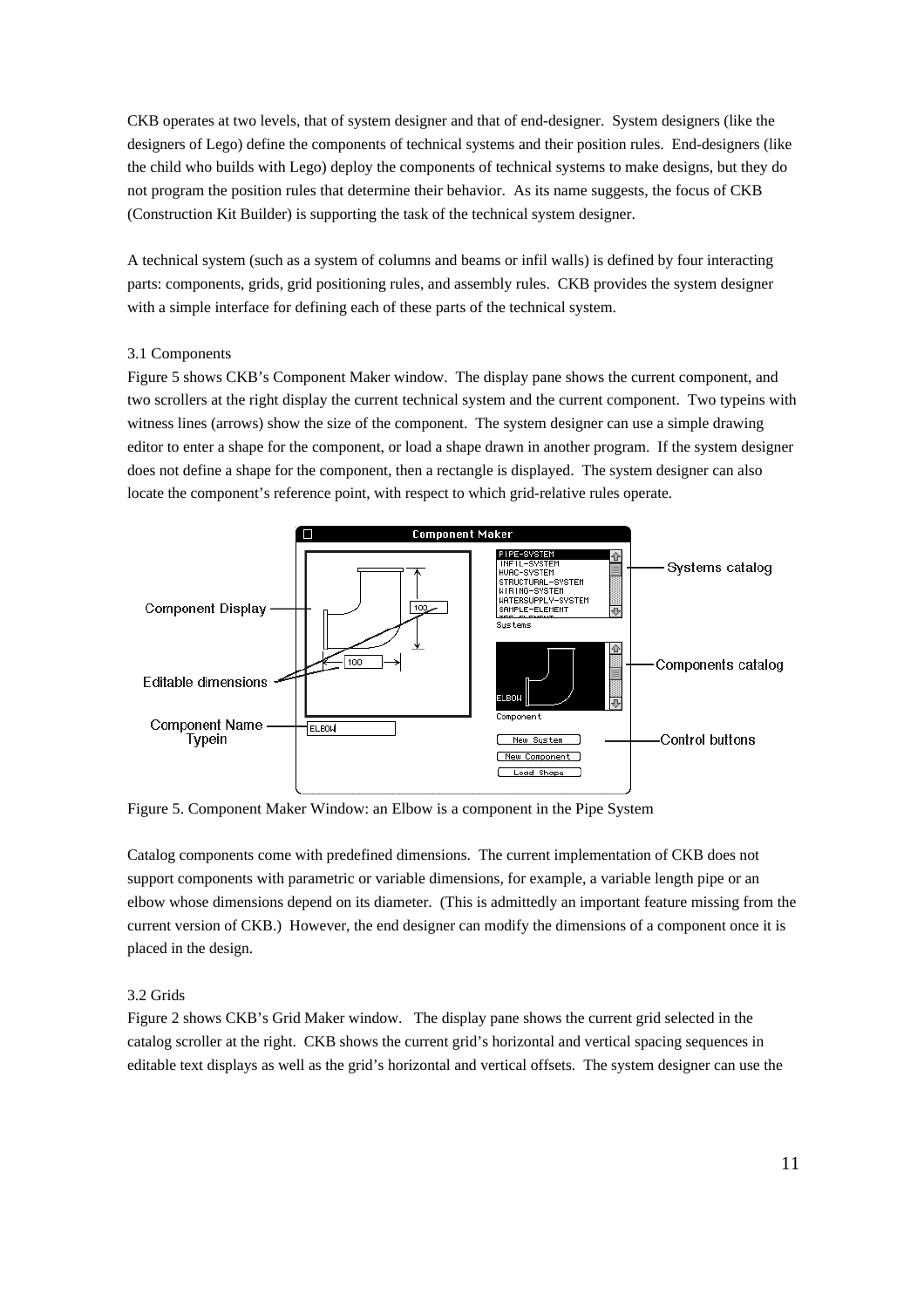CKB operates at two levels, that of system designer and that of end-designer. System designers (like the designers of Lego) define the components of technical systems and their position rules. End-designers (like the child who builds with Lego) deploy the components of technical systems to make designs, but they do not program the position rules that determine their behavior. As its name suggests, the focus of CKB (Construction Kit Builder) is supporting the task of the technical system designer.

A technical system (such as a system of columns and beams or infil walls) is defined by four interacting parts: components, grids, grid positioning rules, and assembly rules. CKB provides the system designer with a simple interface for defining each of these parts of the technical system.

## 3.1 Components

Figure 5 shows CKB's Component Maker window. The display pane shows the current component, and two scrollers at the right display the current technical system and the current component. Two typeins with witness lines (arrows) show the size of the component. The system designer can use a simple drawing editor to enter a shape for the component, or load a shape drawn in another program. If the system designer does not define a shape for the component, then a rectangle is displayed. The system designer can also locate the component's reference point, with respect to which grid-relative rules operate.



Figure 5. Component Maker Window: an Elbow is a component in the Pipe System

Catalog components come with predefined dimensions. The current implementation of CKB does not support components with parametric or variable dimensions, for example, a variable length pipe or an elbow whose dimensions depend on its diameter. (This is admittedly an important feature missing from the current version of CKB.) However, the end designer can modify the dimensions of a component once it is placed in the design.

## 3.2 Grids

Figure 2 shows CKB's Grid Maker window. The display pane shows the current grid selected in the catalog scroller at the right. CKB shows the current grid's horizontal and vertical spacing sequences in editable text displays as well as the grid's horizontal and vertical offsets. The system designer can use the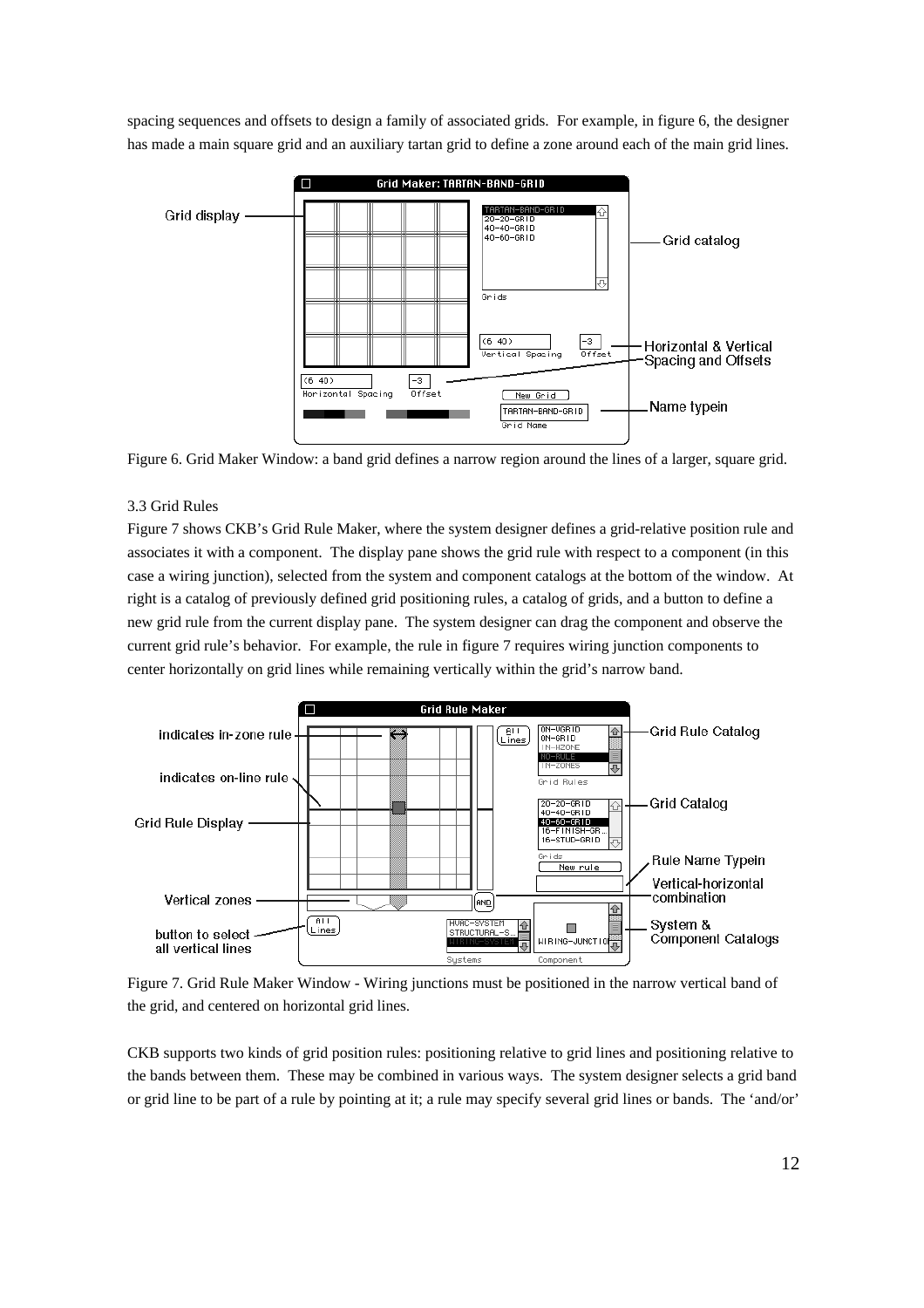spacing sequences and offsets to design a family of associated grids. For example, in figure 6, the designer has made a main square grid and an auxiliary tartan grid to define a zone around each of the main grid lines.



Figure 6. Grid Maker Window: a band grid defines a narrow region around the lines of a larger, square grid.

## 3.3 Grid Rules

Figure 7 shows CKB's Grid Rule Maker, where the system designer defines a grid-relative position rule and associates it with a component. The display pane shows the grid rule with respect to a component (in this case a wiring junction), selected from the system and component catalogs at the bottom of the window. At right is a catalog of previously defined grid positioning rules, a catalog of grids, and a button to define a new grid rule from the current display pane. The system designer can drag the component and observe the current grid rule's behavior. For example, the rule in figure 7 requires wiring junction components to center horizontally on grid lines while remaining vertically within the grid's narrow band.



Figure 7. Grid Rule Maker Window - Wiring junctions must be positioned in the narrow vertical band of the grid, and centered on horizontal grid lines.

CKB supports two kinds of grid position rules: positioning relative to grid lines and positioning relative to the bands between them. These may be combined in various ways. The system designer selects a grid band or grid line to be part of a rule by pointing at it; a rule may specify several grid lines or bands. The 'and/or'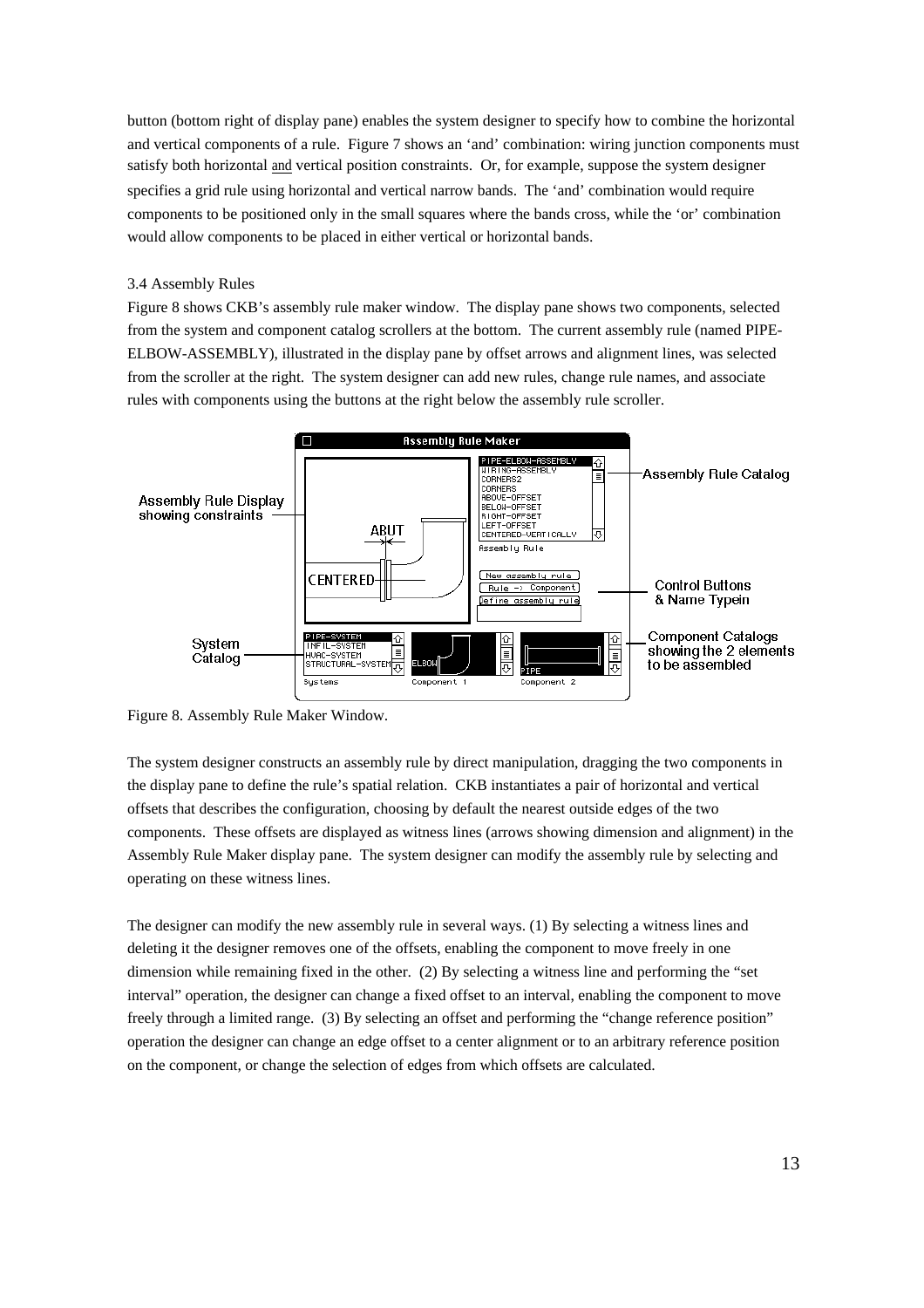button (bottom right of display pane) enables the system designer to specify how to combine the horizontal and vertical components of a rule. Figure 7 shows an 'and' combination: wiring junction components must satisfy both horizontal and vertical position constraints. Or, for example, suppose the system designer specifies a grid rule using horizontal and vertical narrow bands. The 'and' combination would require components to be positioned only in the small squares where the bands cross, while the 'or' combination would allow components to be placed in either vertical or horizontal bands.

## 3.4 Assembly Rules

Figure 8 shows CKB's assembly rule maker window. The display pane shows two components, selected from the system and component catalog scrollers at the bottom. The current assembly rule (named PIPE-ELBOW-ASSEMBLY), illustrated in the display pane by offset arrows and alignment lines, was selected from the scroller at the right. The system designer can add new rules, change rule names, and associate rules with components using the buttons at the right below the assembly rule scroller.



Figure 8. Assembly Rule Maker Window.

The system designer constructs an assembly rule by direct manipulation, dragging the two components in the display pane to define the rule's spatial relation. CKB instantiates a pair of horizontal and vertical offsets that describes the configuration, choosing by default the nearest outside edges of the two components. These offsets are displayed as witness lines (arrows showing dimension and alignment) in the Assembly Rule Maker display pane. The system designer can modify the assembly rule by selecting and operating on these witness lines.

The designer can modify the new assembly rule in several ways. (1) By selecting a witness lines and deleting it the designer removes one of the offsets, enabling the component to move freely in one dimension while remaining fixed in the other. (2) By selecting a witness line and performing the "set interval" operation, the designer can change a fixed offset to an interval, enabling the component to move freely through a limited range. (3) By selecting an offset and performing the "change reference position" operation the designer can change an edge offset to a center alignment or to an arbitrary reference position on the component, or change the selection of edges from which offsets are calculated.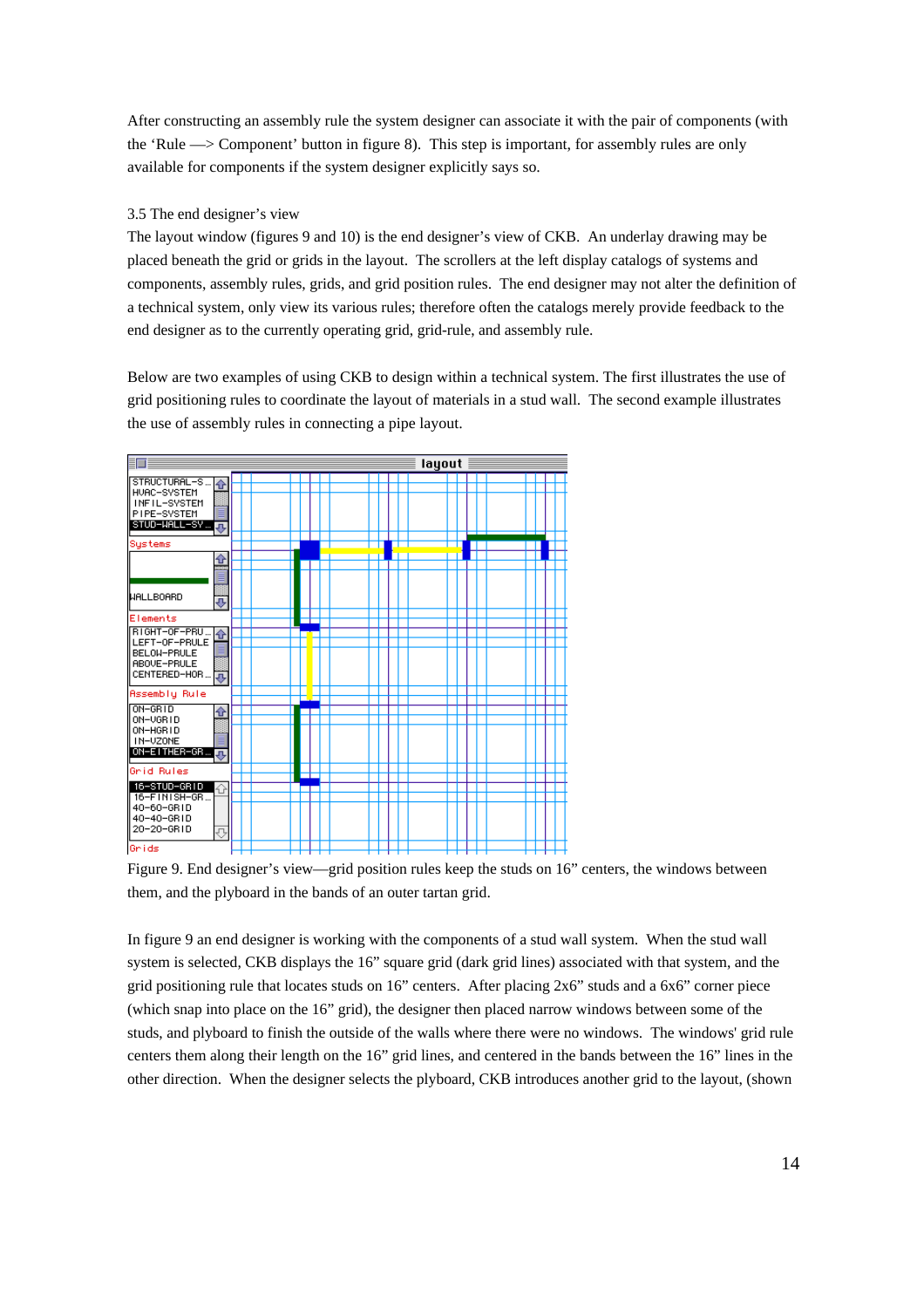After constructing an assembly rule the system designer can associate it with the pair of components (with the 'Rule —> Component' button in figure 8). This step is important, for assembly rules are only available for components if the system designer explicitly says so.

#### 3.5 The end designer's view

The layout window (figures 9 and 10) is the end designer's view of CKB. An underlay drawing may be placed beneath the grid or grids in the layout. The scrollers at the left display catalogs of systems and components, assembly rules, grids, and grid position rules. The end designer may not alter the definition of a technical system, only view its various rules; therefore often the catalogs merely provide feedback to the end designer as to the currently operating grid, grid-rule, and assembly rule.

Below are two examples of using CKB to design within a technical system. The first illustrates the use of grid positioning rules to coordinate the layout of materials in a stud wall. The second example illustrates the use of assembly rules in connecting a pipe layout.



Figure 9. End designer's view—grid position rules keep the studs on 16" centers, the windows between them, and the plyboard in the bands of an outer tartan grid.

In figure 9 an end designer is working with the components of a stud wall system. When the stud wall system is selected, CKB displays the 16" square grid (dark grid lines) associated with that system, and the grid positioning rule that locates studs on 16" centers. After placing 2x6" studs and a 6x6" corner piece (which snap into place on the 16" grid), the designer then placed narrow windows between some of the studs, and plyboard to finish the outside of the walls where there were no windows. The windows' grid rule centers them along their length on the 16" grid lines, and centered in the bands between the 16" lines in the other direction. When the designer selects the plyboard, CKB introduces another grid to the layout, (shown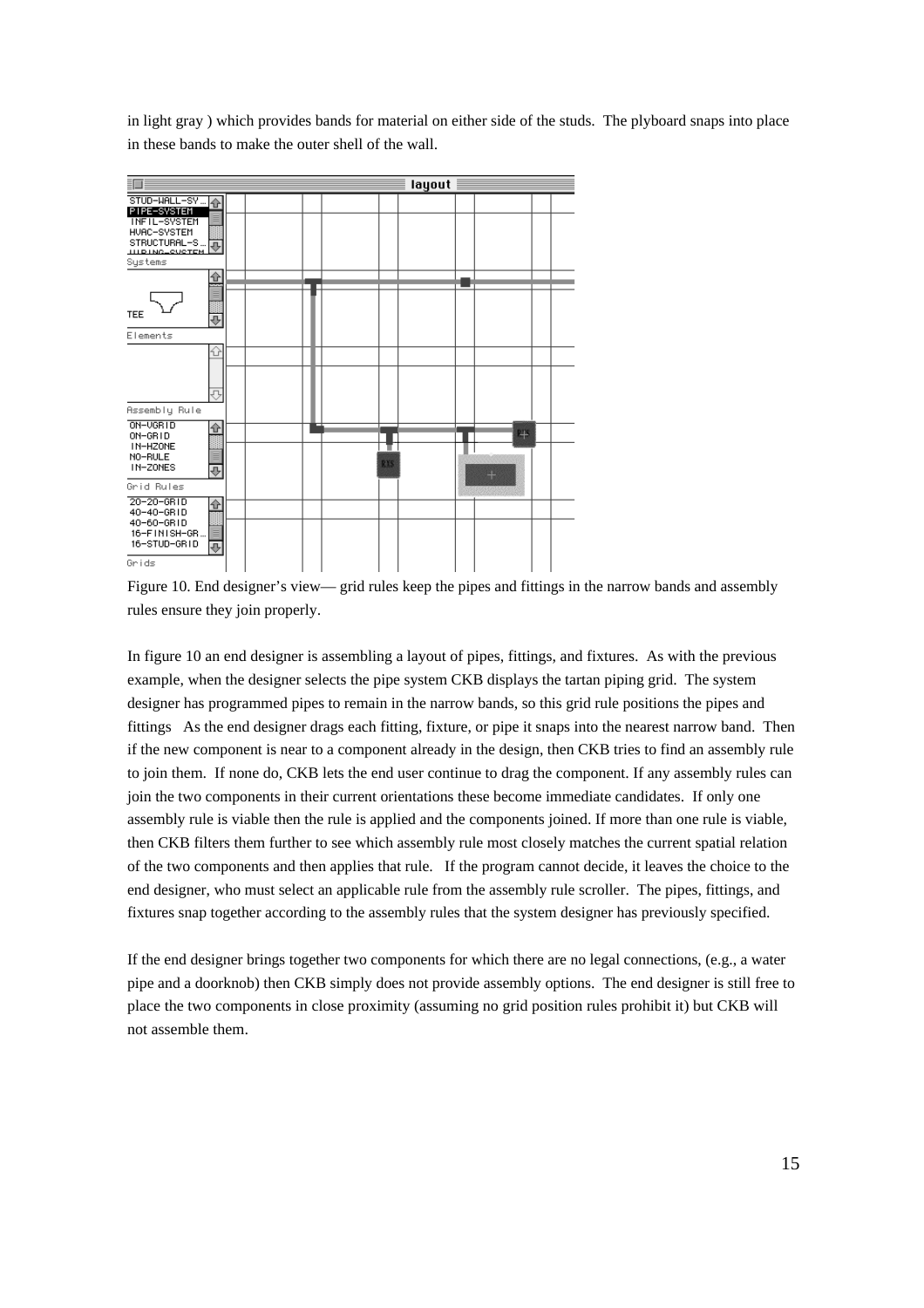in light gray ) which provides bands for material on either side of the studs. The plyboard snaps into place in these bands to make the outer shell of the wall.



Figure 10. End designer's view— grid rules keep the pipes and fittings in the narrow bands and assembly rules ensure they join properly.

In figure 10 an end designer is assembling a layout of pipes, fittings, and fixtures. As with the previous example, when the designer selects the pipe system CKB displays the tartan piping grid. The system designer has programmed pipes to remain in the narrow bands, so this grid rule positions the pipes and fittings As the end designer drags each fitting, fixture, or pipe it snaps into the nearest narrow band. Then if the new component is near to a component already in the design, then CKB tries to find an assembly rule to join them. If none do, CKB lets the end user continue to drag the component. If any assembly rules can join the two components in their current orientations these become immediate candidates. If only one assembly rule is viable then the rule is applied and the components joined. If more than one rule is viable, then CKB filters them further to see which assembly rule most closely matches the current spatial relation of the two components and then applies that rule. If the program cannot decide, it leaves the choice to the end designer, who must select an applicable rule from the assembly rule scroller. The pipes, fittings, and fixtures snap together according to the assembly rules that the system designer has previously specified.

If the end designer brings together two components for which there are no legal connections, (e.g., a water pipe and a doorknob) then CKB simply does not provide assembly options. The end designer is still free to place the two components in close proximity (assuming no grid position rules prohibit it) but CKB will not assemble them.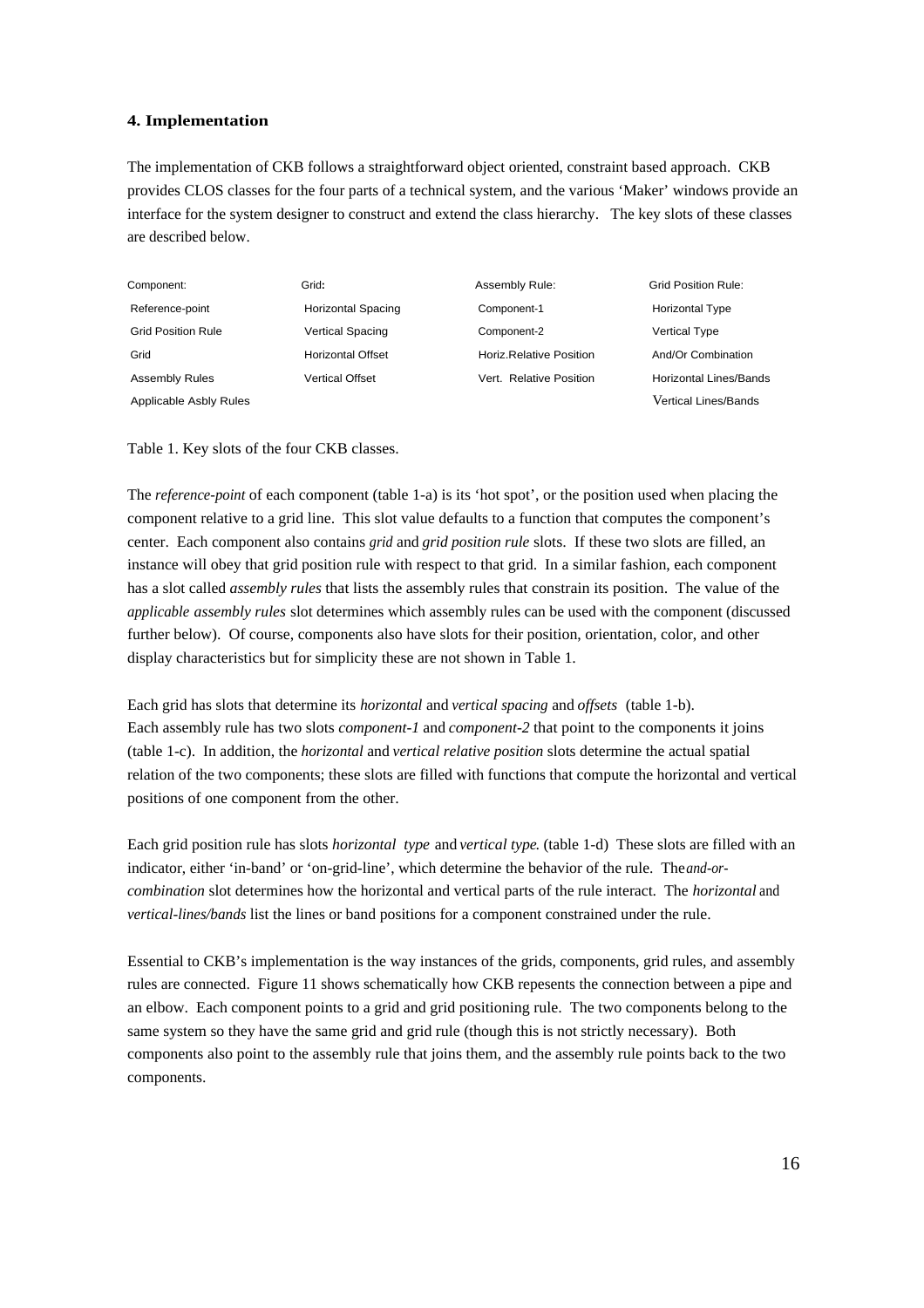#### **4. Implementation**

The implementation of CKB follows a straightforward object oriented, constraint based approach. CKB provides CLOS classes for the four parts of a technical system, and the various 'Maker' windows provide an interface for the system designer to construct and extend the class hierarchy. The key slots of these classes are described below.

| Component:                | Grid:                     | Assembly Rule:          | Grid Position Rule:           |
|---------------------------|---------------------------|-------------------------|-------------------------------|
| Reference-point           | <b>Horizontal Spacing</b> | Component-1             | <b>Horizontal Type</b>        |
| <b>Grid Position Rule</b> | <b>Vertical Spacing</b>   | Component-2             | <b>Vertical Type</b>          |
| Grid                      | <b>Horizontal Offset</b>  | Horiz Relative Position | And/Or Combination            |
| <b>Assembly Rules</b>     | Vertical Offset           | Vert. Relative Position | <b>Horizontal Lines/Bands</b> |
| Applicable Asbly Rules    |                           |                         | Vertical Lines/Bands          |

Table 1. Key slots of the four CKB classes.

The *reference-point* of each component (table 1-a) is its 'hot spot', or the position used when placing the component relative to a grid line. This slot value defaults to a function that computes the component's center. Each component also contains *grid* and *grid position rule* slots. If these two slots are filled, an instance will obey that grid position rule with respect to that grid. In a similar fashion, each component has a slot called *assembly rules* that lists the assembly rules that constrain its position. The value of the *applicable assembly rules* slot determines which assembly rules can be used with the component (discussed further below). Of course, components also have slots for their position, orientation, color, and other display characteristics but for simplicity these are not shown in Table 1.

Each grid has slots that determine its *horizontal* and *vertical spacing* and *offsets* (table 1-b). Each assembly rule has two slots *component-1* and *component-2* that point to the components it joins (table 1-c). In addition, the *horizontal* and *vertical relative position* slots determine the actual spatial relation of the two components; these slots are filled with functions that compute the horizontal and vertical positions of one component from the other.

Each grid position rule has slots *horizontal type* and *vertical type*. (table 1-d) These slots are filled with an indicator, either 'in-band' or 'on-grid-line', which determine the behavior of the rule. The *and-orcombination* slot determines how the horizontal and vertical parts of the rule interact. The *horizontal* and *vertical-lines/bands* list the lines or band positions for a component constrained under the rule.

Essential to CKB's implementation is the way instances of the grids, components, grid rules, and assembly rules are connected. Figure 11 shows schematically how CKB repesents the connection between a pipe and an elbow. Each component points to a grid and grid positioning rule. The two components belong to the same system so they have the same grid and grid rule (though this is not strictly necessary). Both components also point to the assembly rule that joins them, and the assembly rule points back to the two components.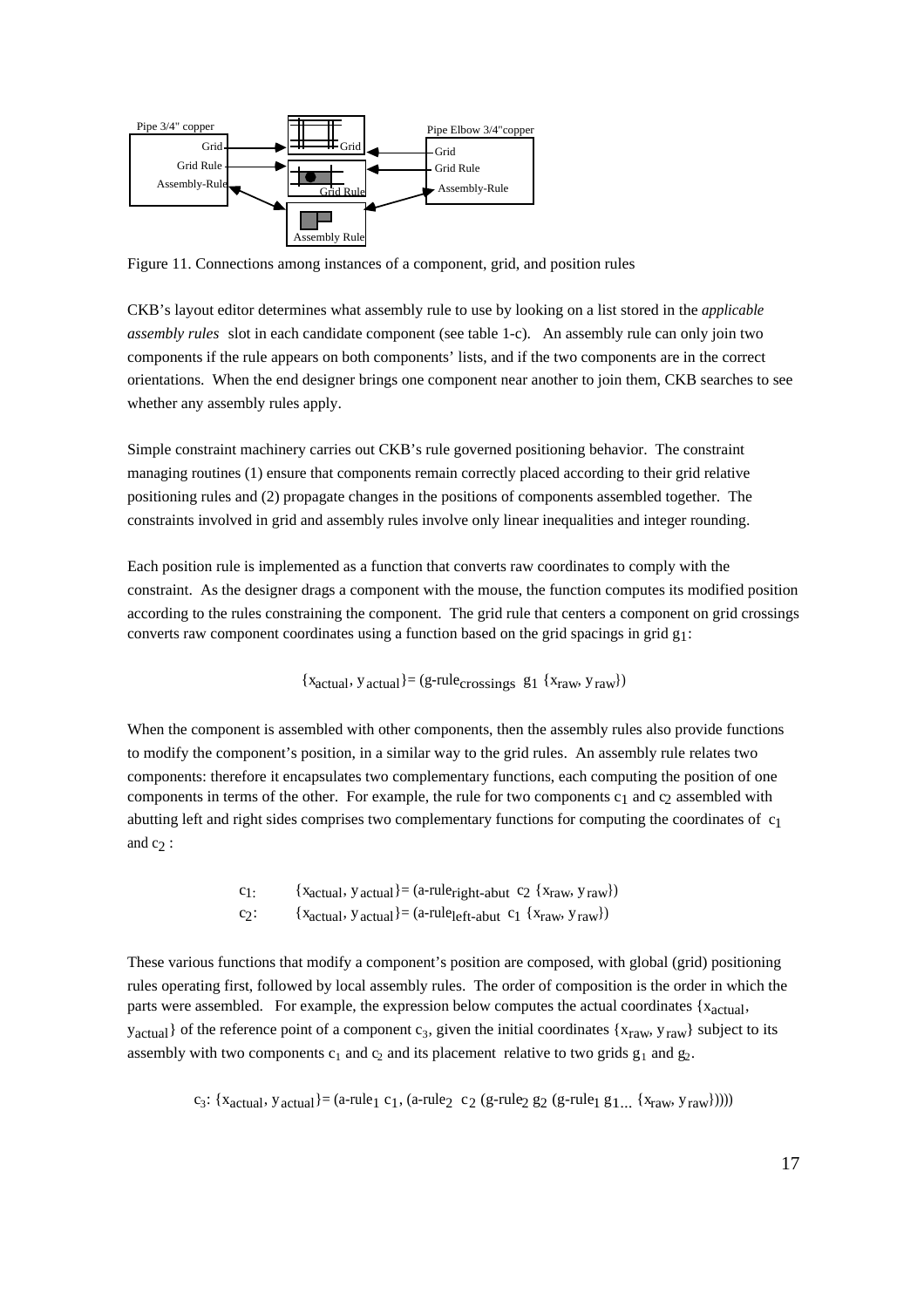

Figure 11. Connections among instances of a component, grid, and position rules

CKB's layout editor determines what assembly rule to use by looking on a list stored in the *applicable assembly rules* slot in each candidate component (see table 1-c). An assembly rule can only join two components if the rule appears on both components' lists, and if the two components are in the correct orientations. When the end designer brings one component near another to join them, CKB searches to see whether any assembly rules apply.

Simple constraint machinery carries out CKB's rule governed positioning behavior. The constraint managing routines (1) ensure that components remain correctly placed according to their grid relative positioning rules and (2) propagate changes in the positions of components assembled together. The constraints involved in grid and assembly rules involve only linear inequalities and integer rounding.

Each position rule is implemented as a function that converts raw coordinates to comply with the constraint. As the designer drags a component with the mouse, the function computes its modified position according to the rules constraining the component. The grid rule that centers a component on grid crossings converts raw component coordinates using a function based on the grid spacings in grid  $g_1$ :

 ${x<sub>actual</sub>, y<sub>actual</sub>} = (g$ -rule<sub>crossings</sub> g<sub>1</sub>  ${x<sub>raw</sub>, y<sub>raw</sub>}$ 

When the component is assembled with other components, then the assembly rules also provide functions to modify the component's position, in a similar way to the grid rules. An assembly rule relates two components: therefore it encapsulates two complementary functions, each computing the position of one components in terms of the other. For example, the rule for two components  $c_1$  and  $c_2$  assembled with abutting left and right sides comprises two complementary functions for computing the coordinates of c1 and  $c_2$ :

> c<sub>1:</sub> {x<sub>actual</sub>, y<sub>actual</sub>} = (a-rule<sub>right-abut</sub> c<sub>2</sub> {x<sub>raw</sub>, y<sub>raw</sub>}) c<sub>2</sub>: { $x_{actual}$ ,  $y_{actual}$ }= (a-rule<sub>left-abut</sub> c<sub>1</sub> { $x_{raw}$ ,  $y_{raw}$ })

These various functions that modify a component's position are composed, with global (grid) positioning rules operating first, followed by local assembly rules. The order of composition is the order in which the parts were assembled. For example, the expression below computes the actual coordinates  $\{x_{\text{actual}}\}$ ,  $y_{\text{actual}}$  of the reference point of a component  $c_3$ , given the initial coordinates  $\{x_{\text{raw}}, y_{\text{raw}}\}$  subject to its assembly with two components  $c_1$  and  $c_2$  and its placement relative to two grids  $g_1$  and  $g_2$ .

 $c_3$ : {x<sub>actual</sub>, y<sub>actual</sub>}= (a-rule<sub>1</sub> c<sub>1</sub>, (a-rule<sub>2</sub> c<sub>2</sub> (g-rule<sub>2</sub> g<sub>2</sub> (g-rule<sub>1</sub> g<sub>1</sub>... {x<sub>raw</sub>, y<sub>raw</sub>}))))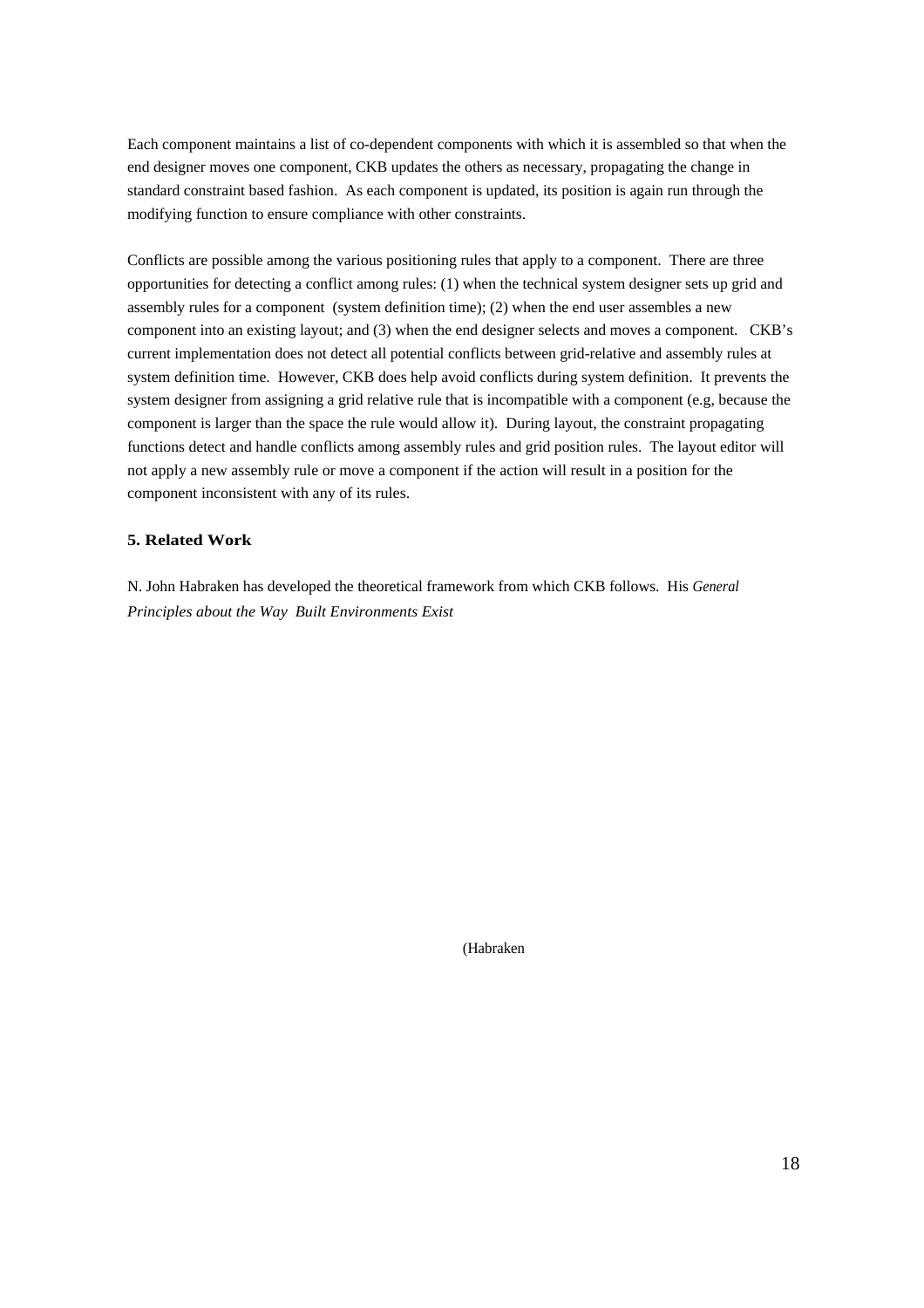Each component maintains a list of co-dependent components with which it is assembled so that when the end designer moves one component, CKB updates the others as necessary, propagating the change in standard constraint based fashion. As each component is updated, its position is again run through the modifying function to ensure compliance with other constraints.

Conflicts are possible among the various positioning rules that apply to a component. There are three opportunities for detecting a conflict among rules: (1) when the technical system designer sets up grid and assembly rules for a component (system definition time); (2) when the end user assembles a new component into an existing layout; and (3) when the end designer selects and moves a component. CKB's current implementation does not detect all potential conflicts between grid-relative and assembly rules at system definition time. However, CKB does help avoid conflicts during system definition. It prevents the system designer from assigning a grid relative rule that is incompatible with a component (e.g, because the component is larger than the space the rule would allow it). During layout, the constraint propagating functions detect and handle conflicts among assembly rules and grid position rules. The layout editor will not apply a new assembly rule or move a component if the action will result in a position for the component inconsistent with any of its rules.

#### **5. Related Work**

N. John Habraken has developed the theoretical framework from which CKB follows. His *General Principles about the Way Built Environments Exist*

(Habraken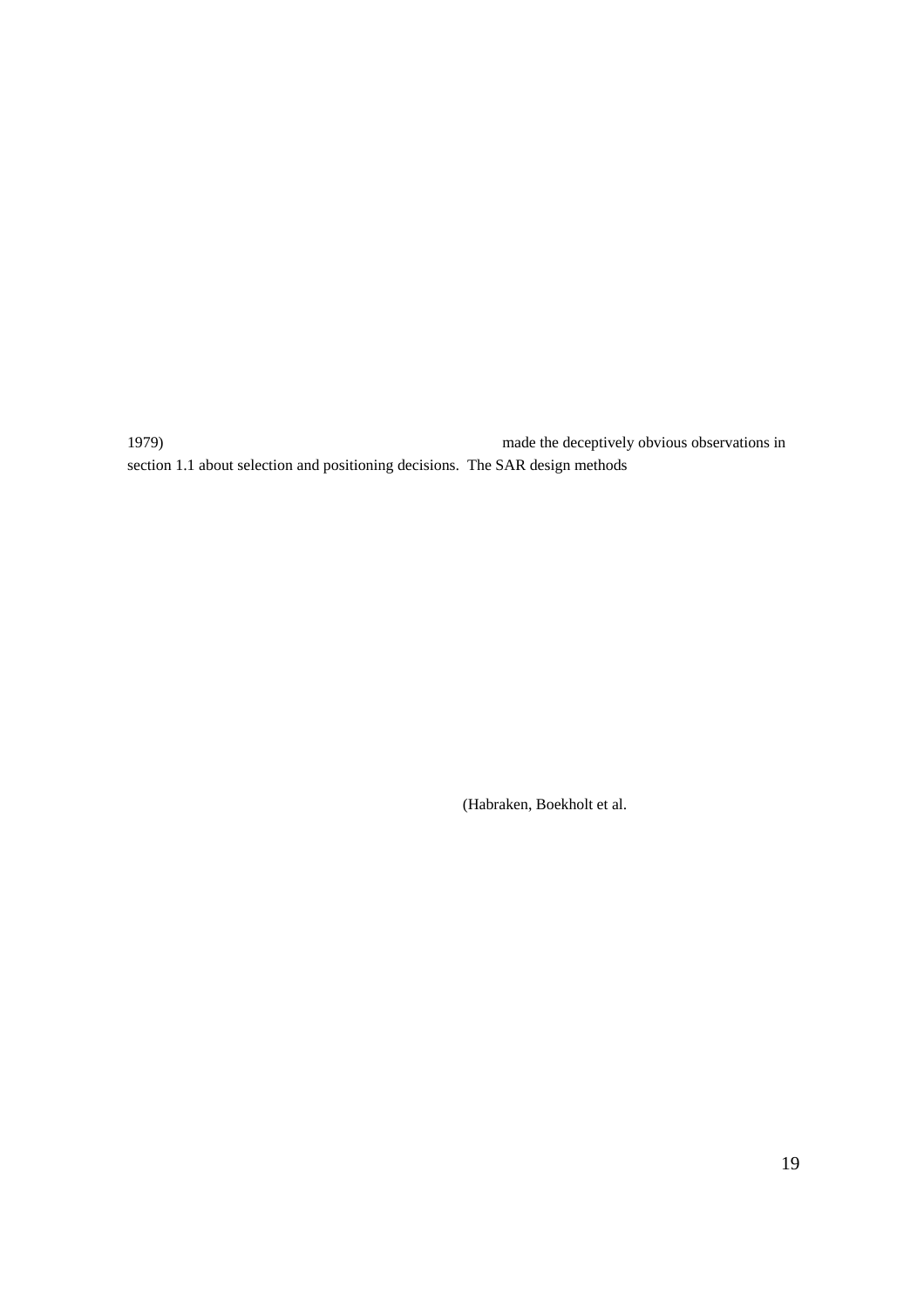1979) made the deceptively obvious observations in section 1.1 about selection and positioning decisions. The SAR design methods

(Habraken, Boekholt et al.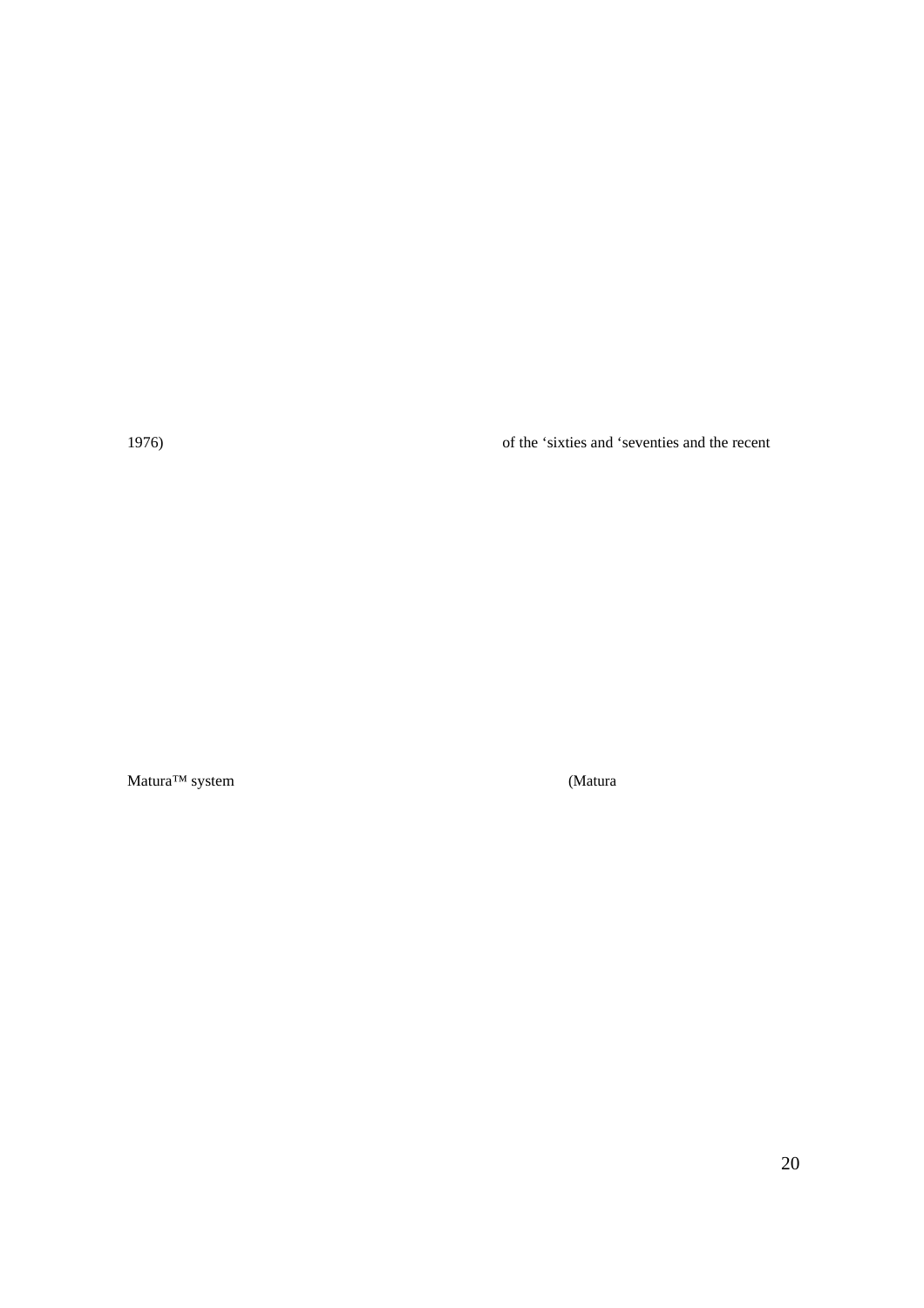1976) of the 'sixties and 'seventies and the recent

Matura™ system (Matura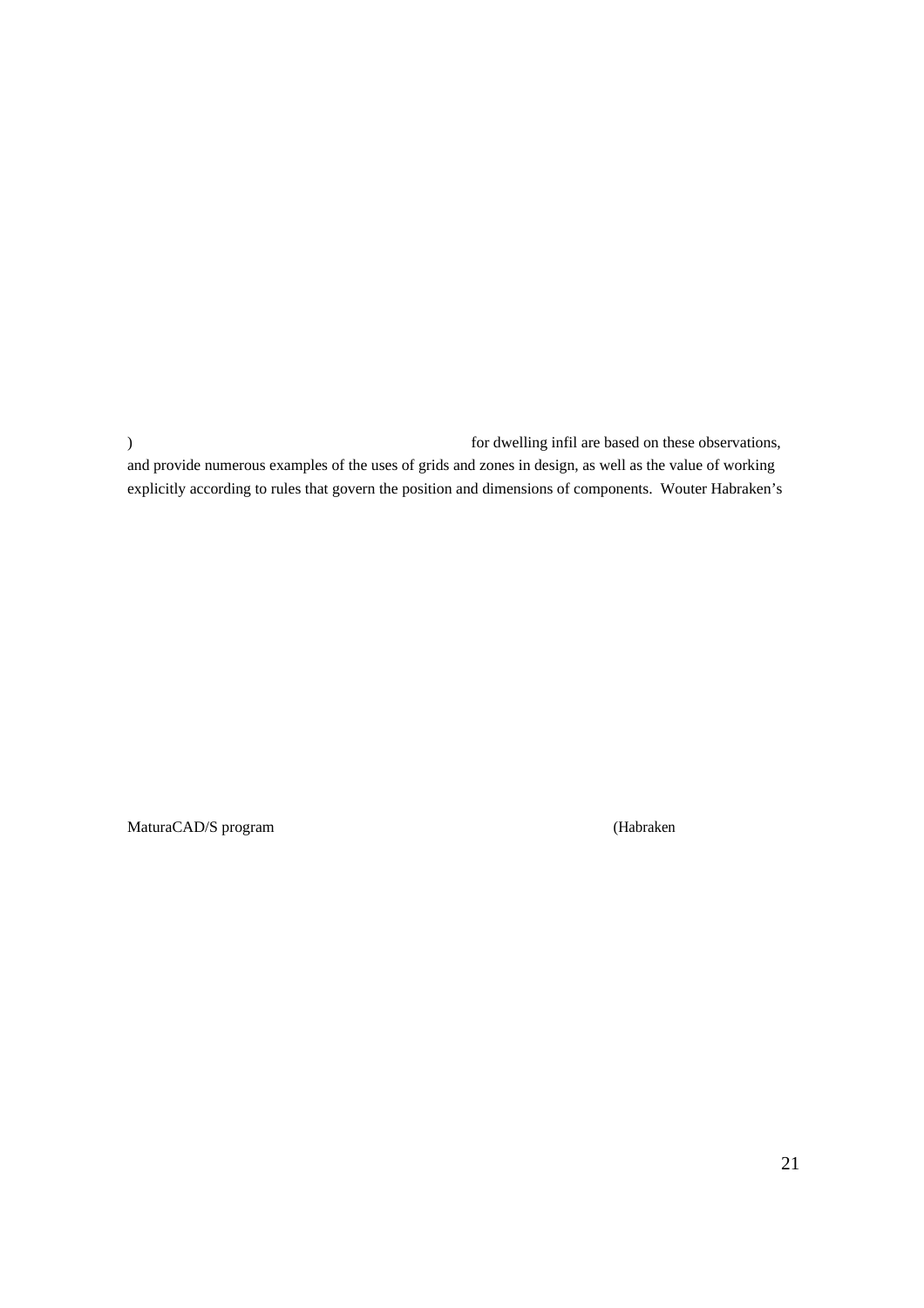) for dwelling infil are based on these observations, and provide numerous examples of the uses of grids and zones in design, as well as the value of working explicitly according to rules that govern the position and dimensions of components. Wouter Habraken's

MaturaCAD/S program (Habraken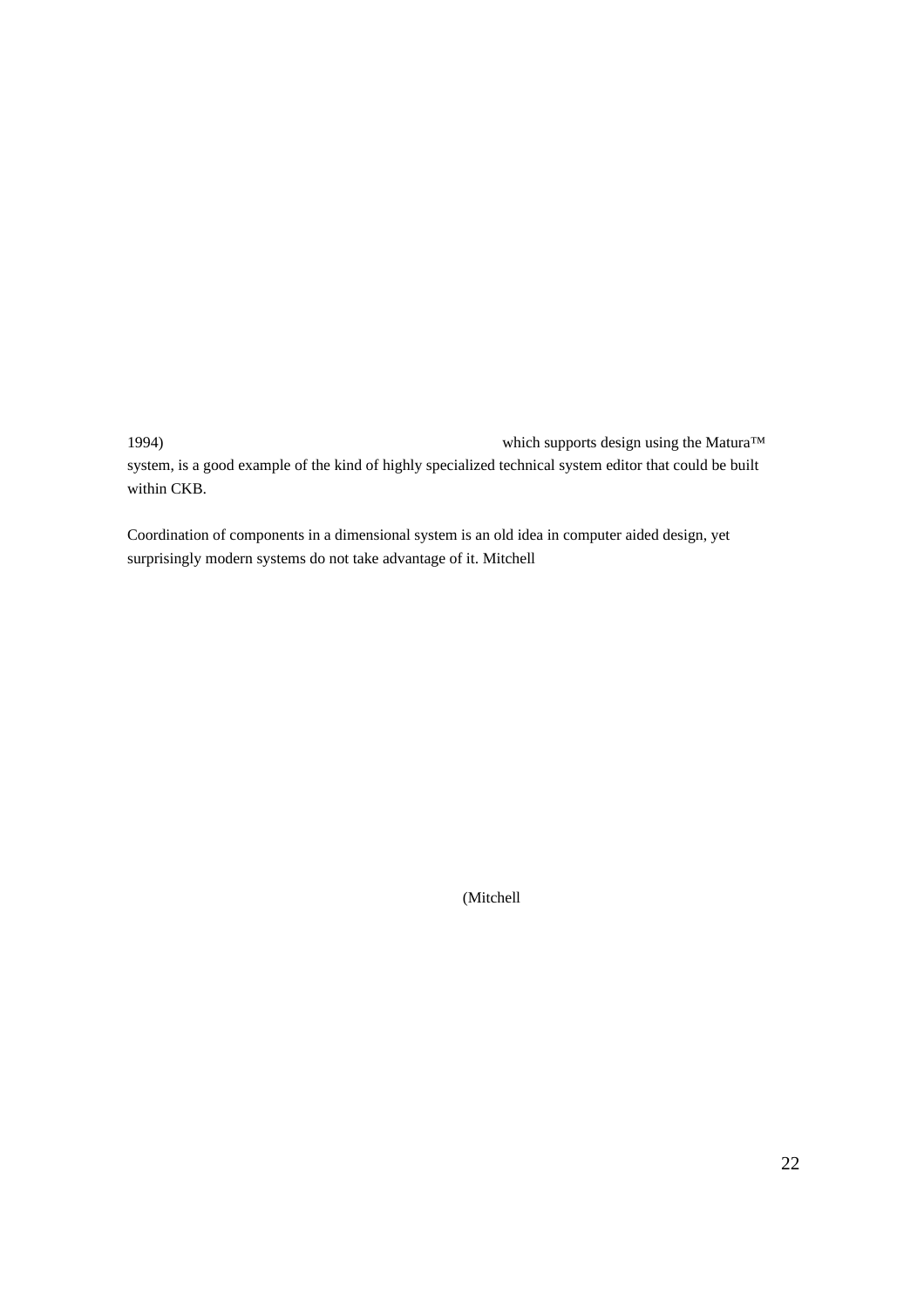1994) which supports design using the Matura™ system, is a good example of the kind of highly specialized technical system editor that could be built within CKB.

Coordination of components in a dimensional system is an old idea in computer aided design, yet surprisingly modern systems do not take advantage of it. Mitchell

(Mitchell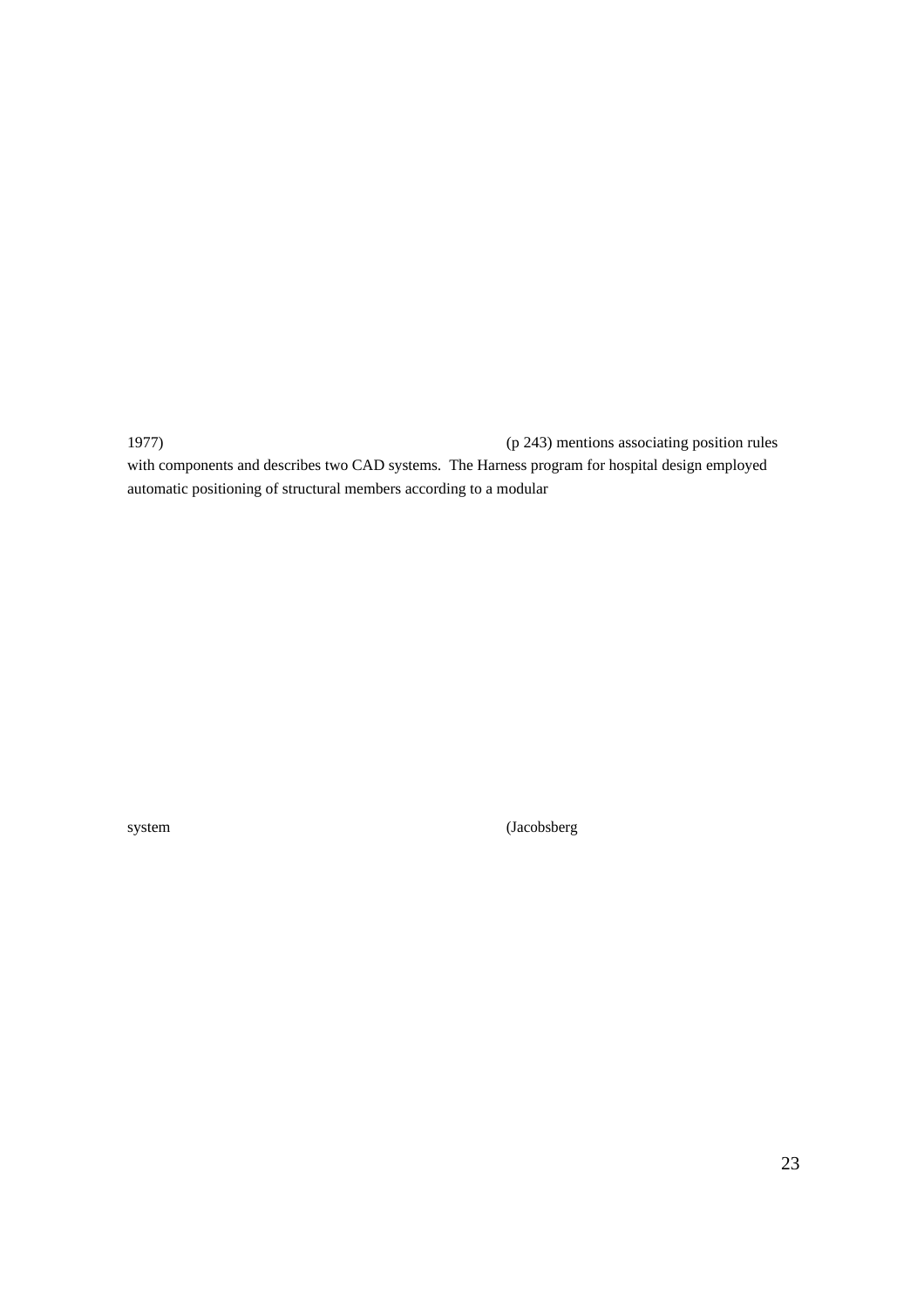1977) (p 243) mentions associating position rules with components and describes two CAD systems. The Harness program for hospital design employed automatic positioning of structural members according to a modular

system (Jacobsberg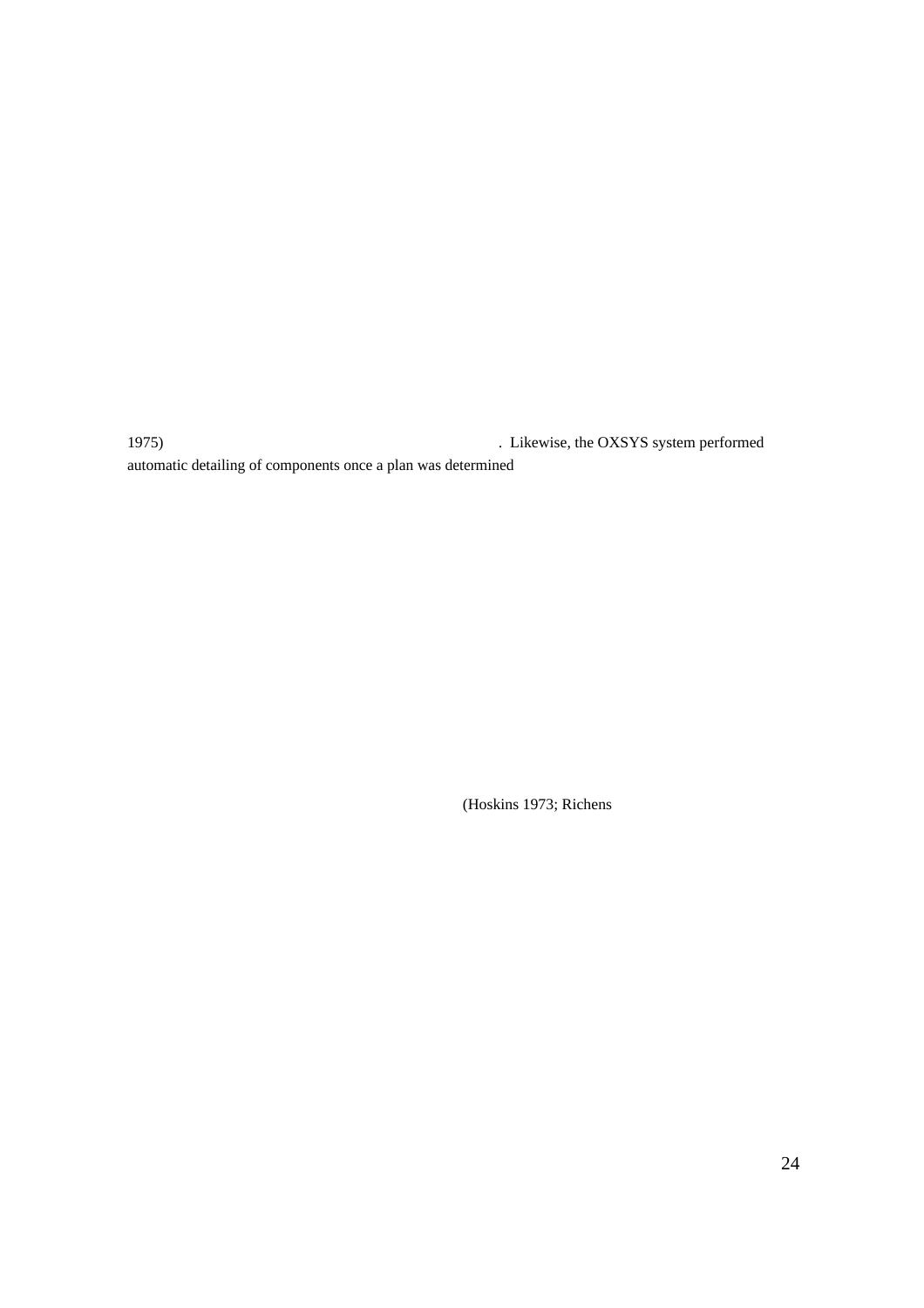1975) . Likewise, the OXSYS system performed automatic detailing of components once a plan was determined

(Hoskins 1973; Richens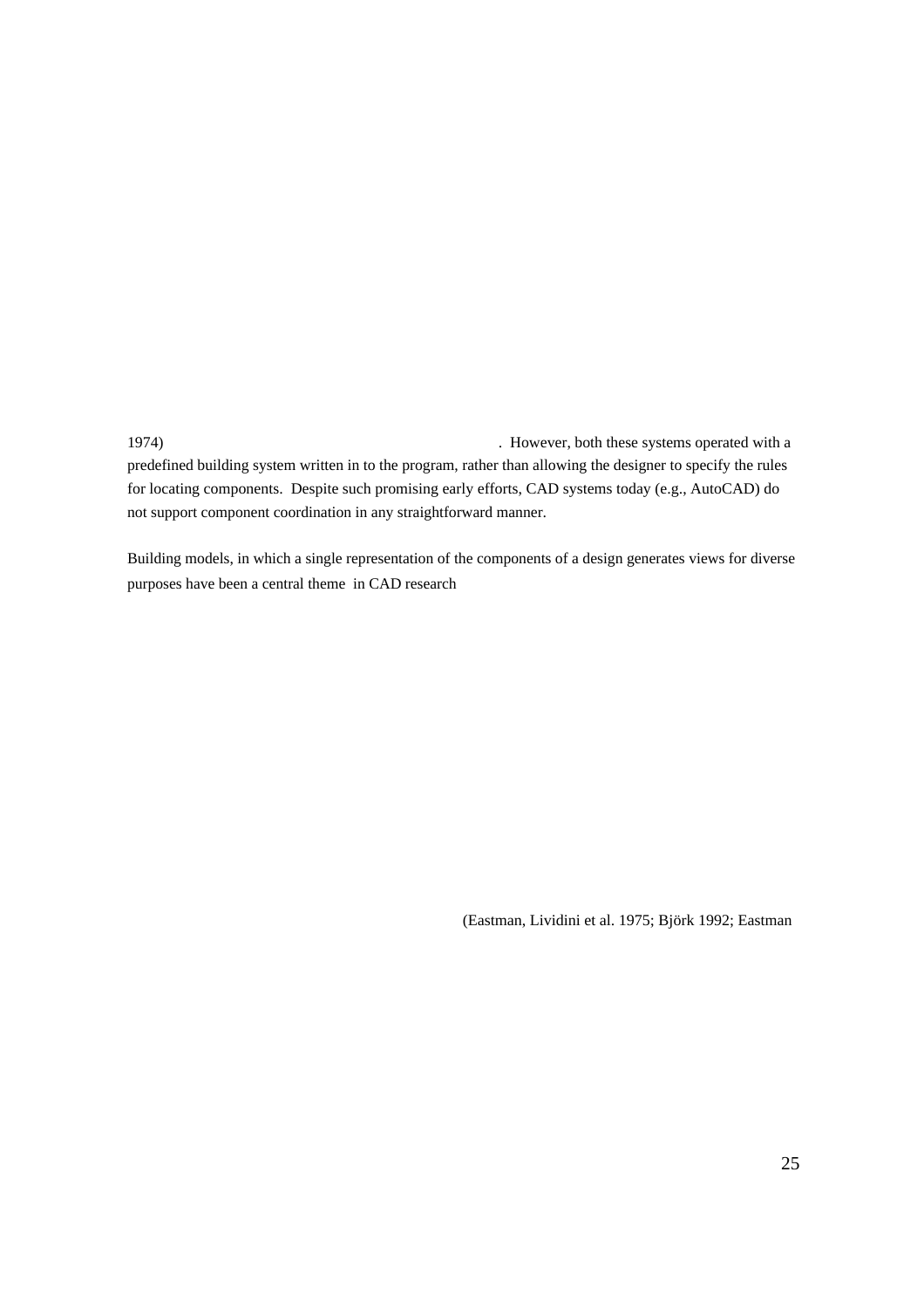1974) . However, both these systems operated with a predefined building system written in to the program, rather than allowing the designer to specify the rules for locating components. Despite such promising early efforts, CAD systems today (e.g., AutoCAD) do not support component coordination in any straightforward manner.

Building models, in which a single representation of the components of a design generates views for diverse purposes have been a central theme in CAD research

(Eastman, Lividini et al. 1975; Björk 1992; Eastman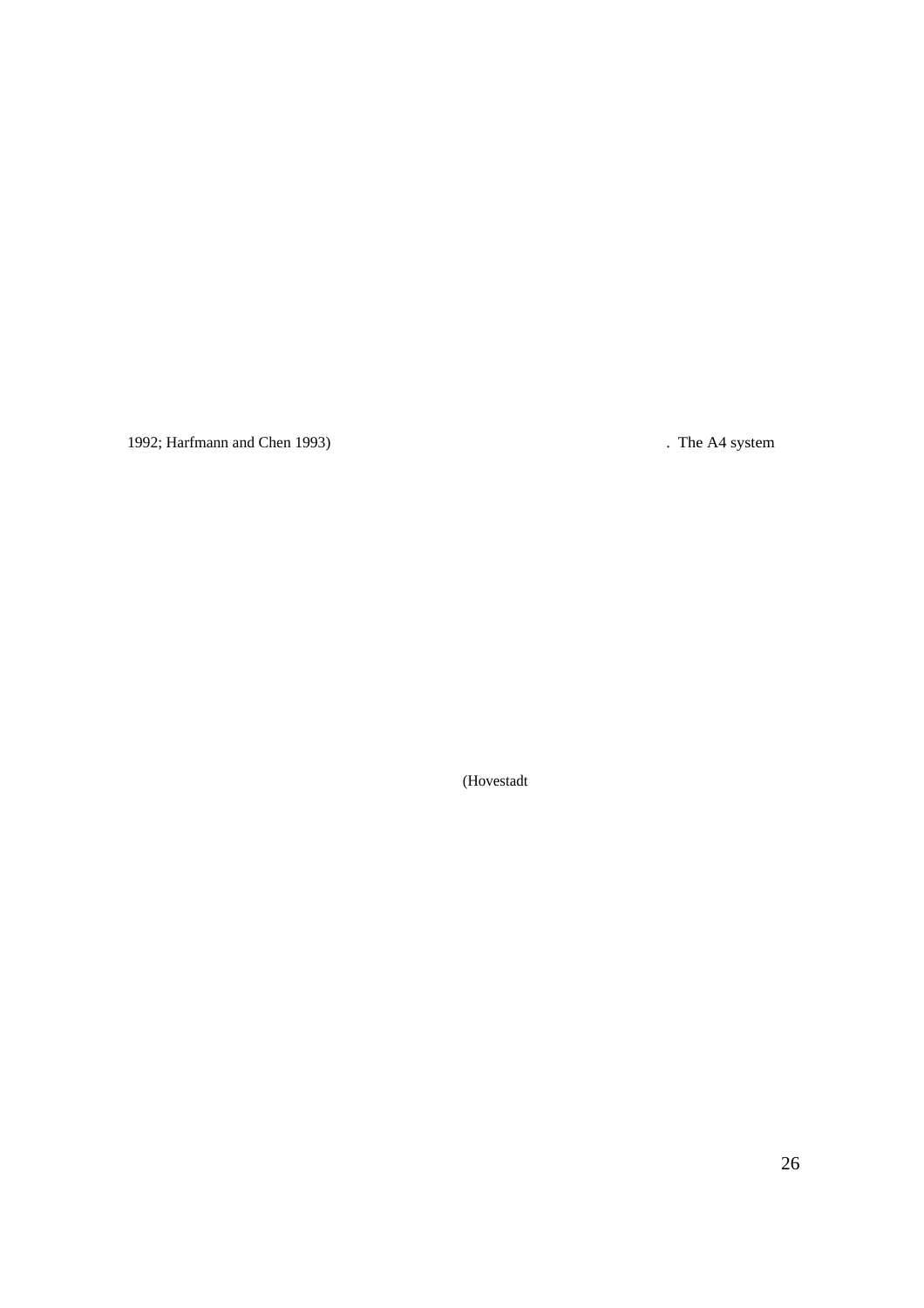1992; Harfmann and Chen 1993) **.** The A4 system

(Hovestadt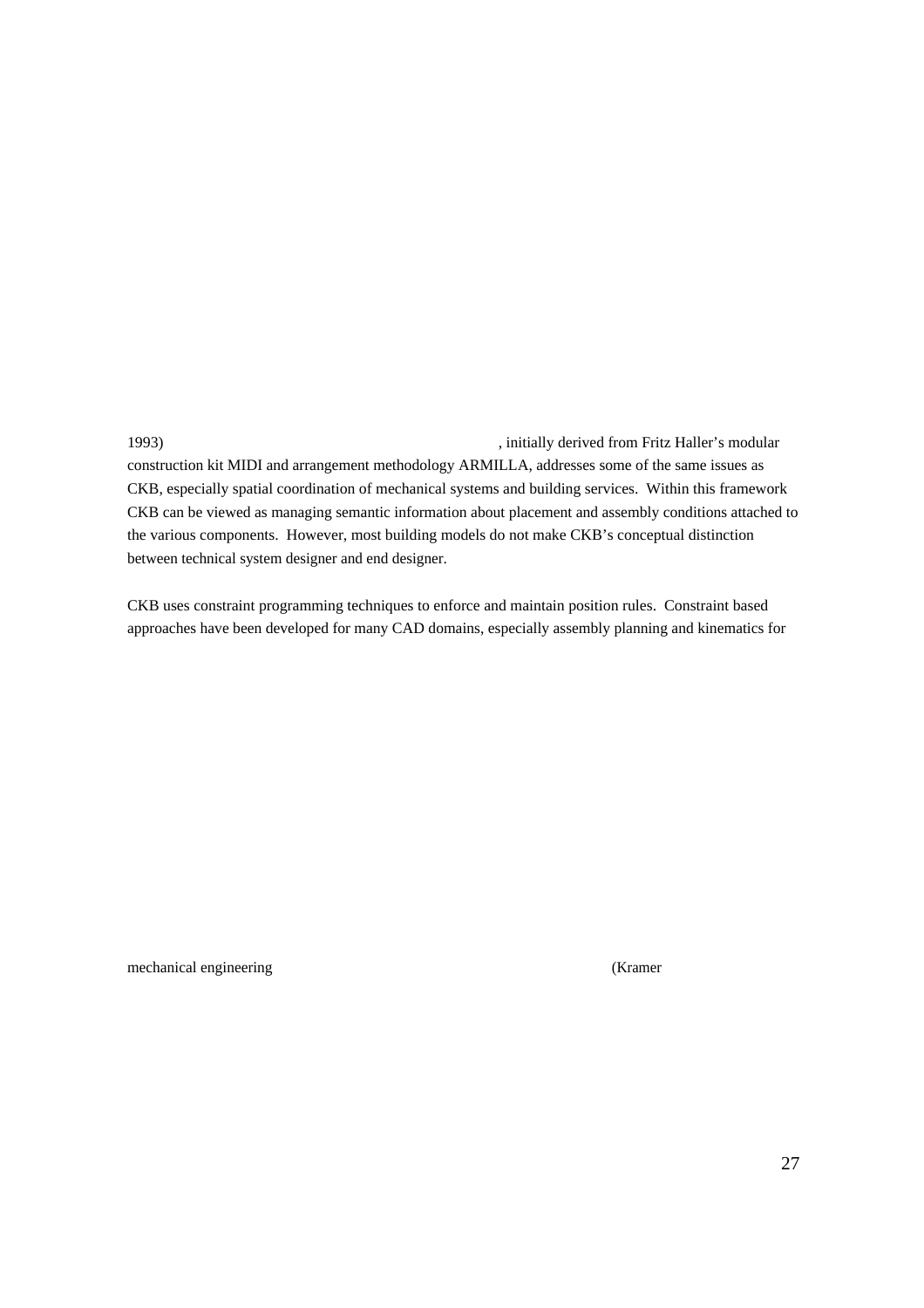1993) , initially derived from Fritz Haller's modular construction kit MIDI and arrangement methodology ARMILLA, addresses some of the same issues as CKB, especially spatial coordination of mechanical systems and building services. Within this framework CKB can be viewed as managing semantic information about placement and assembly conditions attached to the various components. However, most building models do not make CKB's conceptual distinction between technical system designer and end designer.

CKB uses constraint programming techniques to enforce and maintain position rules. Constraint based approaches have been developed for many CAD domains, especially assembly planning and kinematics for

mechanical engineering (Kramer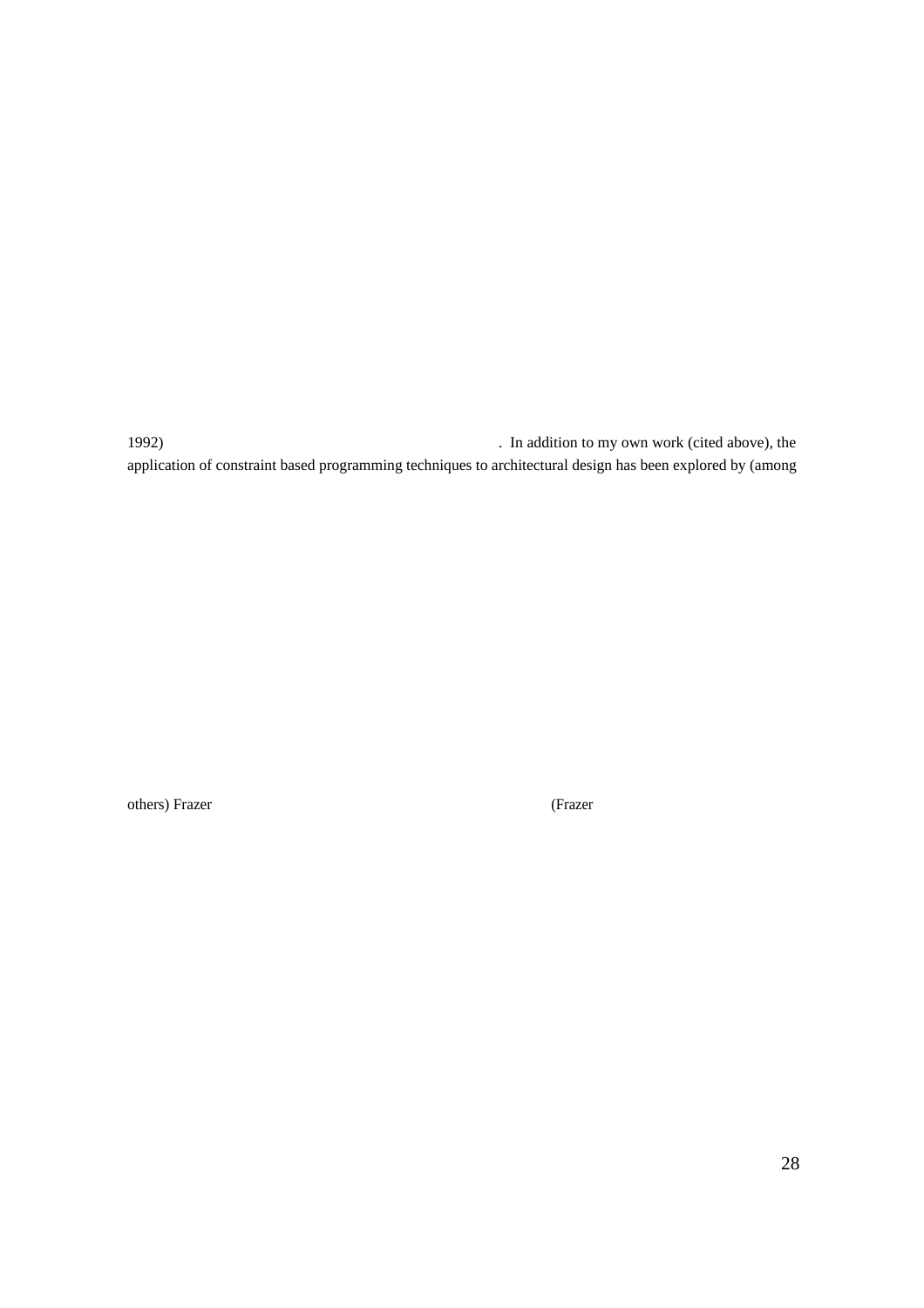1992) . In addition to my own work (cited above), the application of constraint based programming techniques to architectural design has been explored by (among

others) Frazer (Frazer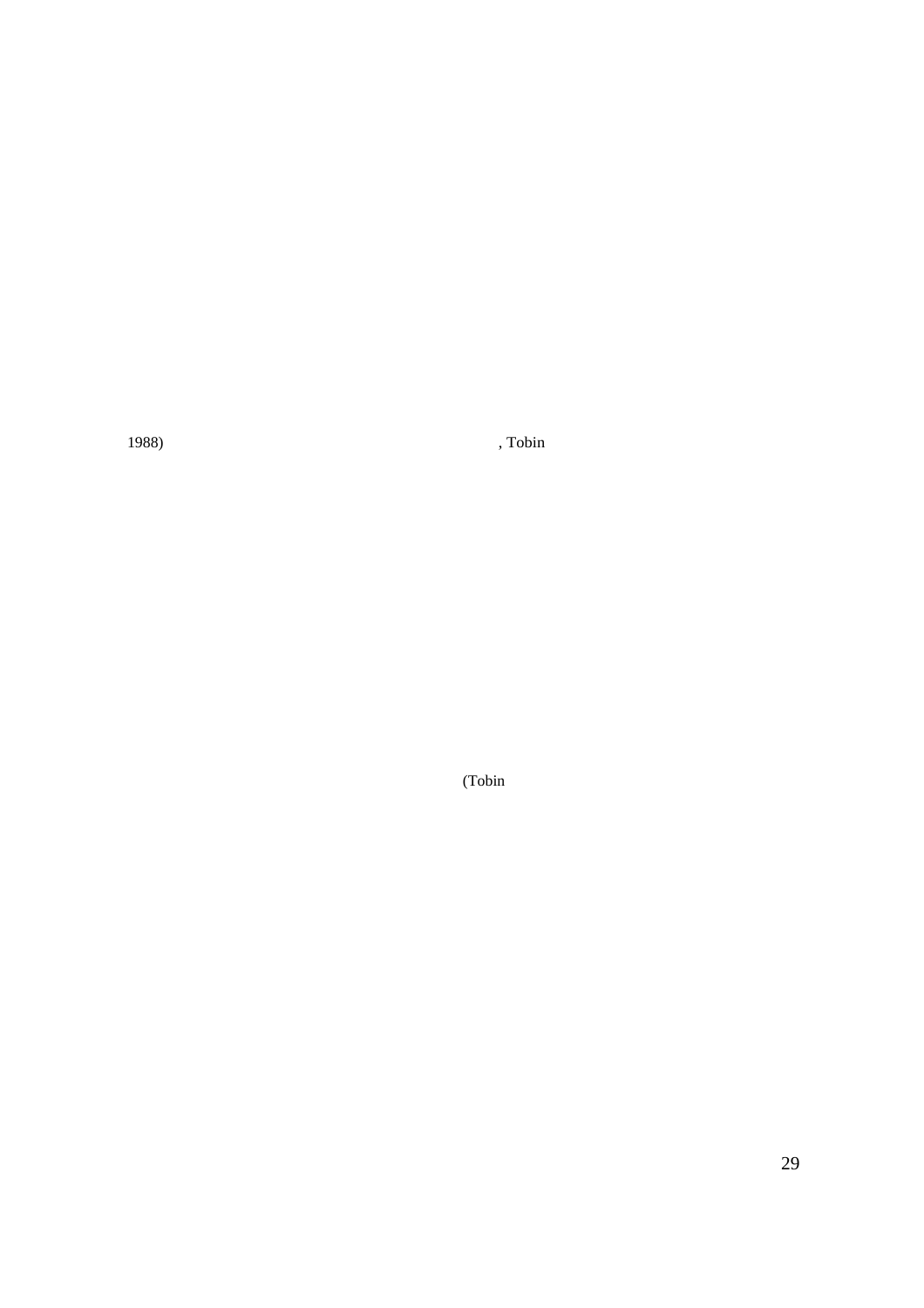1988) , Tobin

(Tobin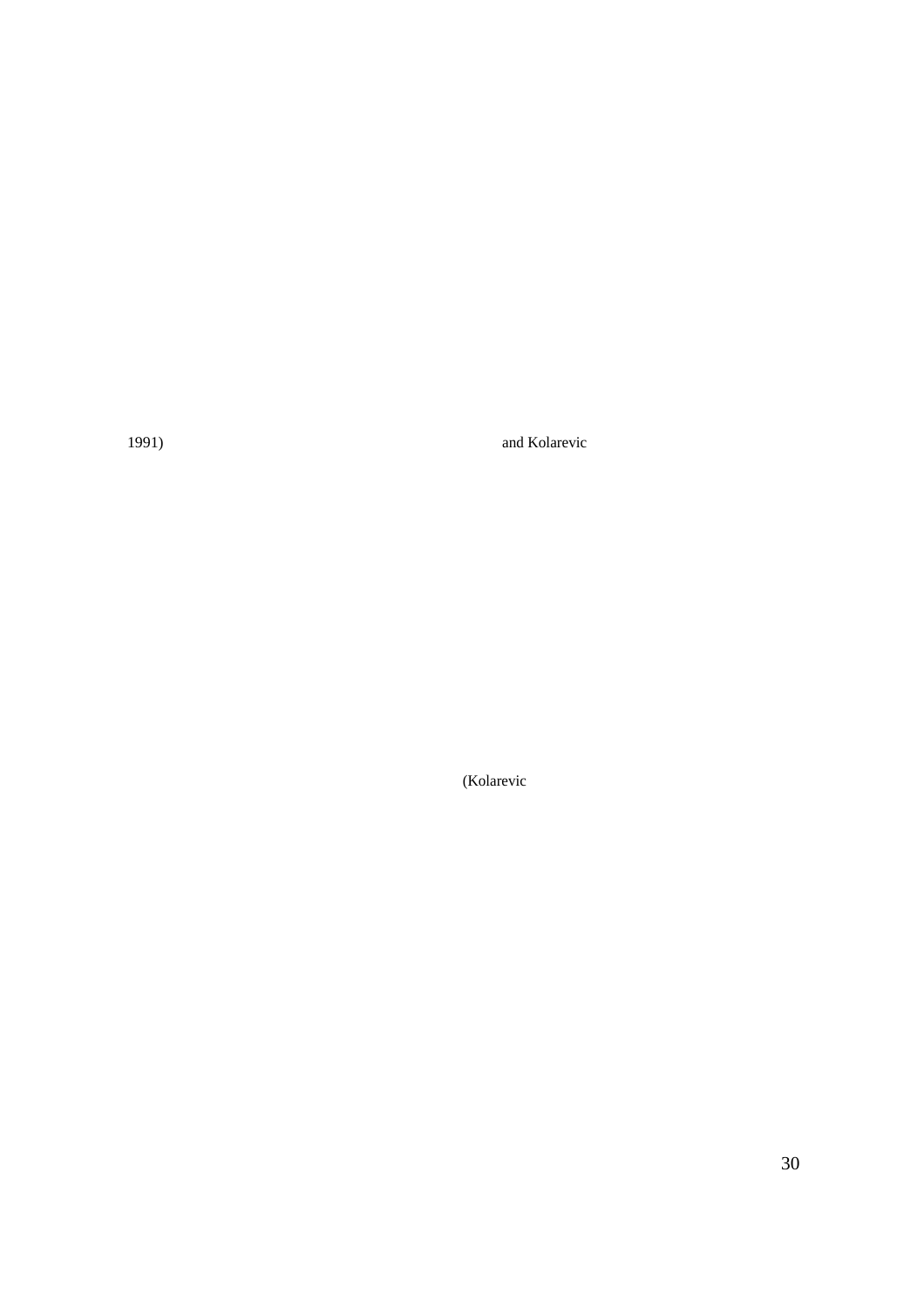1991) and Kolarevic

(Kolarevic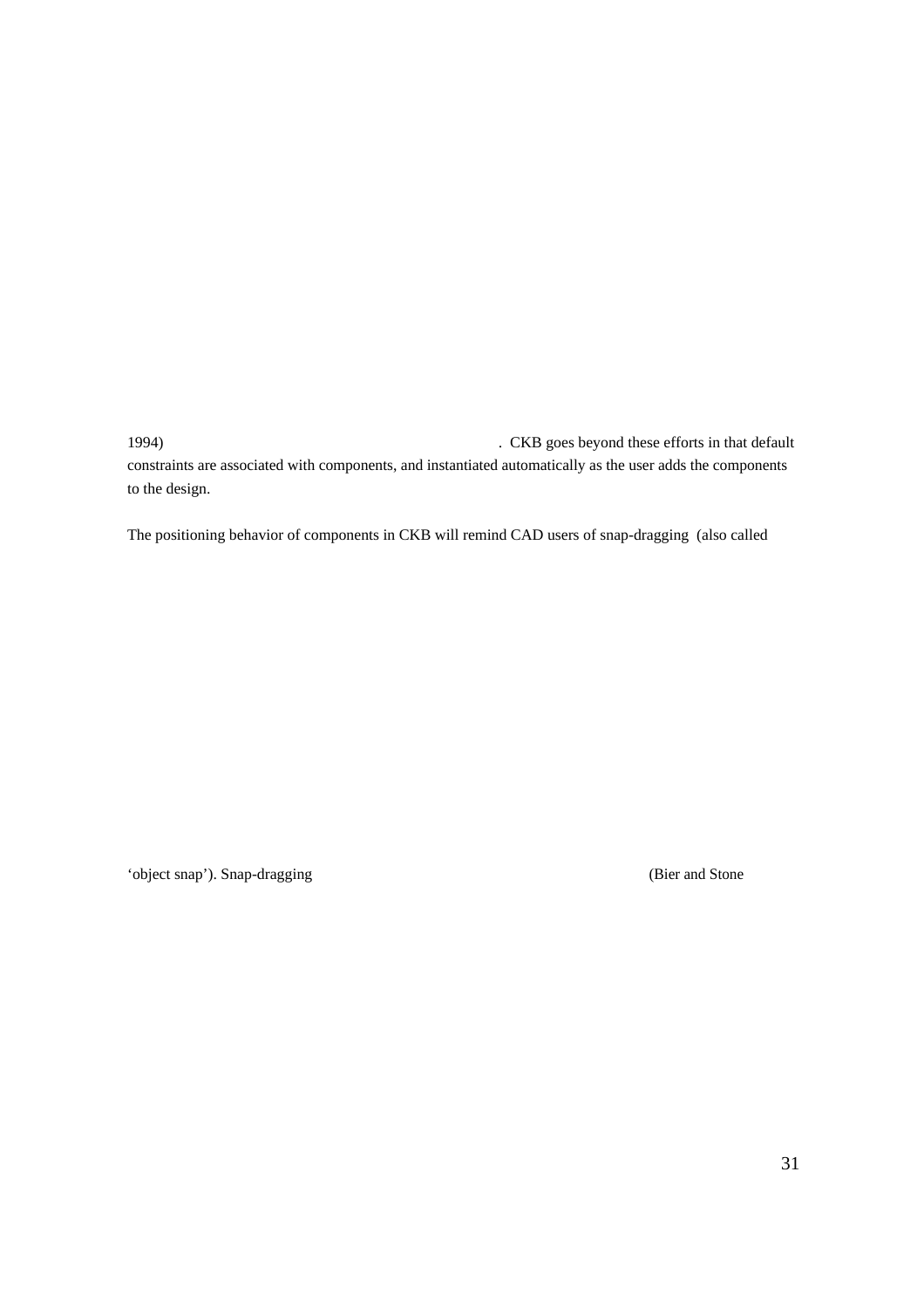1994) . CKB goes beyond these efforts in that default constraints are associated with components, and instantiated automatically as the user adds the components to the design.

The positioning behavior of components in CKB will remind CAD users of snap-dragging (also called

'object snap'). Snap-dragging (Bier and Stone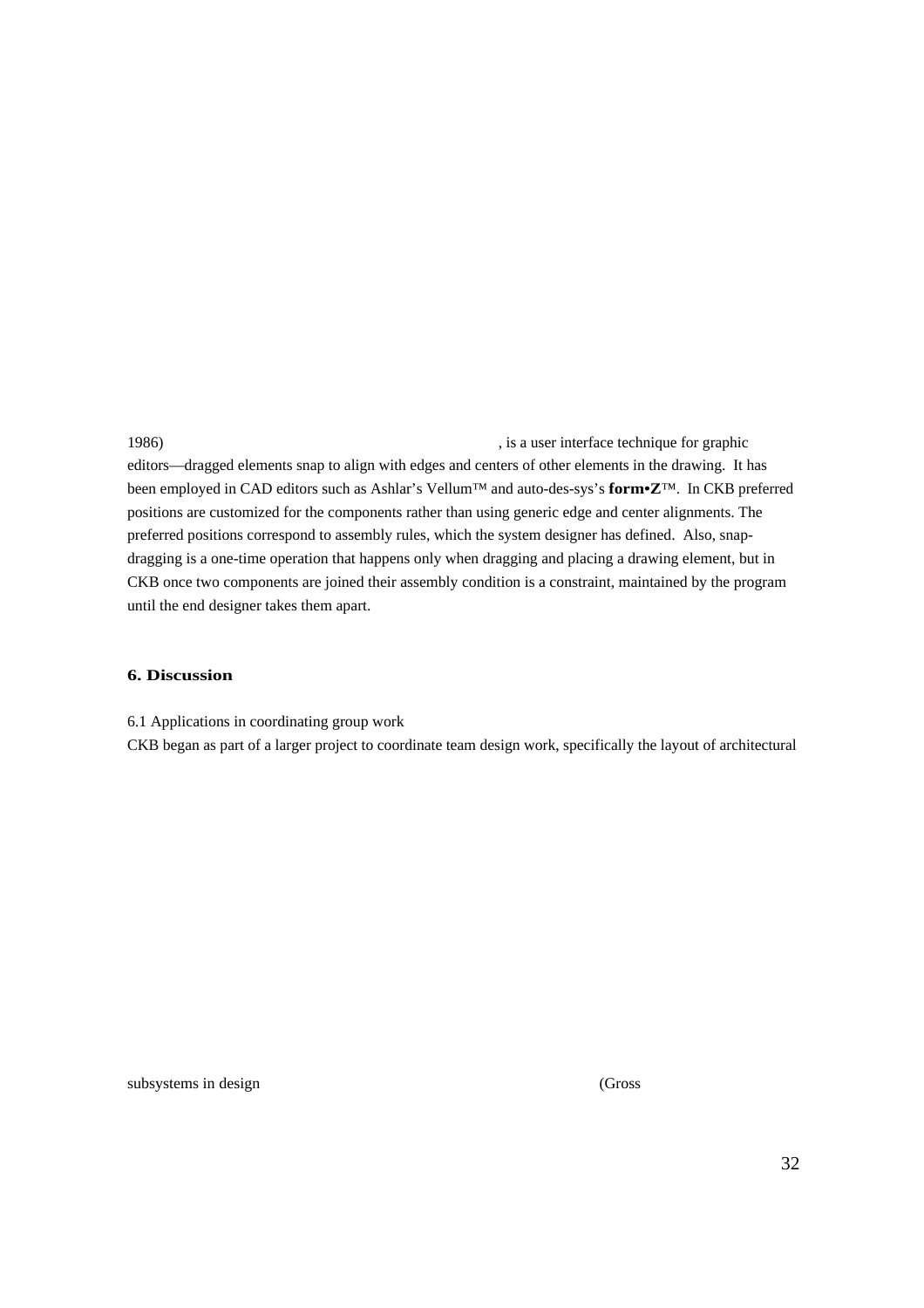1986) , is a user interface technique for graphic editors—dragged elements snap to align with edges and centers of other elements in the drawing. It has been employed in CAD editors such as Ashlar's Vellum™ and auto-des-sys's **form•Z**™. In CKB preferred positions are customized for the components rather than using generic edge and center alignments. The preferred positions correspond to assembly rules, which the system designer has defined. Also, snapdragging is a one-time operation that happens only when dragging and placing a drawing element, but in CKB once two components are joined their assembly condition is a constraint, maintained by the program until the end designer takes them apart.

#### **6. Discussion**

6.1 Applications in coordinating group work

CKB began as part of a larger project to coordinate team design work, specifically the layout of architectural

subsystems in design (Gross) (Gross)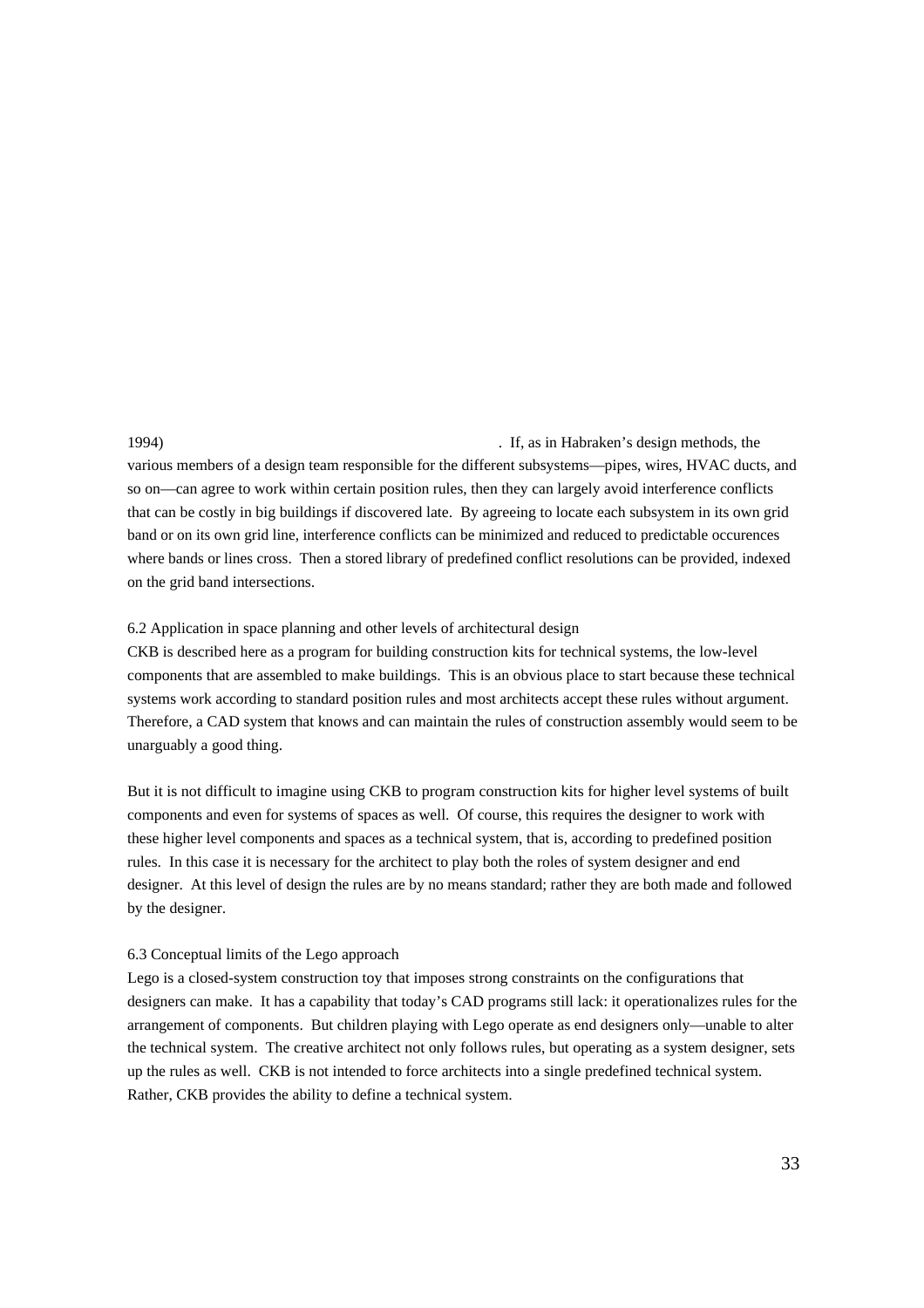1994) . If, as in Habraken's design methods, the various members of a design team responsible for the different subsystems—pipes, wires, HVAC ducts, and so on—can agree to work within certain position rules, then they can largely avoid interference conflicts that can be costly in big buildings if discovered late. By agreeing to locate each subsystem in its own grid band or on its own grid line, interference conflicts can be minimized and reduced to predictable occurences where bands or lines cross. Then a stored library of predefined conflict resolutions can be provided, indexed on the grid band intersections.

## 6.2 Application in space planning and other levels of architectural design

CKB is described here as a program for building construction kits for technical systems, the low-level components that are assembled to make buildings. This is an obvious place to start because these technical systems work according to standard position rules and most architects accept these rules without argument. Therefore, a CAD system that knows and can maintain the rules of construction assembly would seem to be unarguably a good thing.

But it is not difficult to imagine using CKB to program construction kits for higher level systems of built components and even for systems of spaces as well. Of course, this requires the designer to work with these higher level components and spaces as a technical system, that is, according to predefined position rules. In this case it is necessary for the architect to play both the roles of system designer and end designer. At this level of design the rules are by no means standard; rather they are both made and followed by the designer.

#### 6.3 Conceptual limits of the Lego approach

Lego is a closed-system construction toy that imposes strong constraints on the configurations that designers can make. It has a capability that today's CAD programs still lack: it operationalizes rules for the arrangement of components. But children playing with Lego operate as end designers only—unable to alter the technical system. The creative architect not only follows rules, but operating as a system designer, sets up the rules as well. CKB is not intended to force architects into a single predefined technical system. Rather, CKB provides the ability to define a technical system.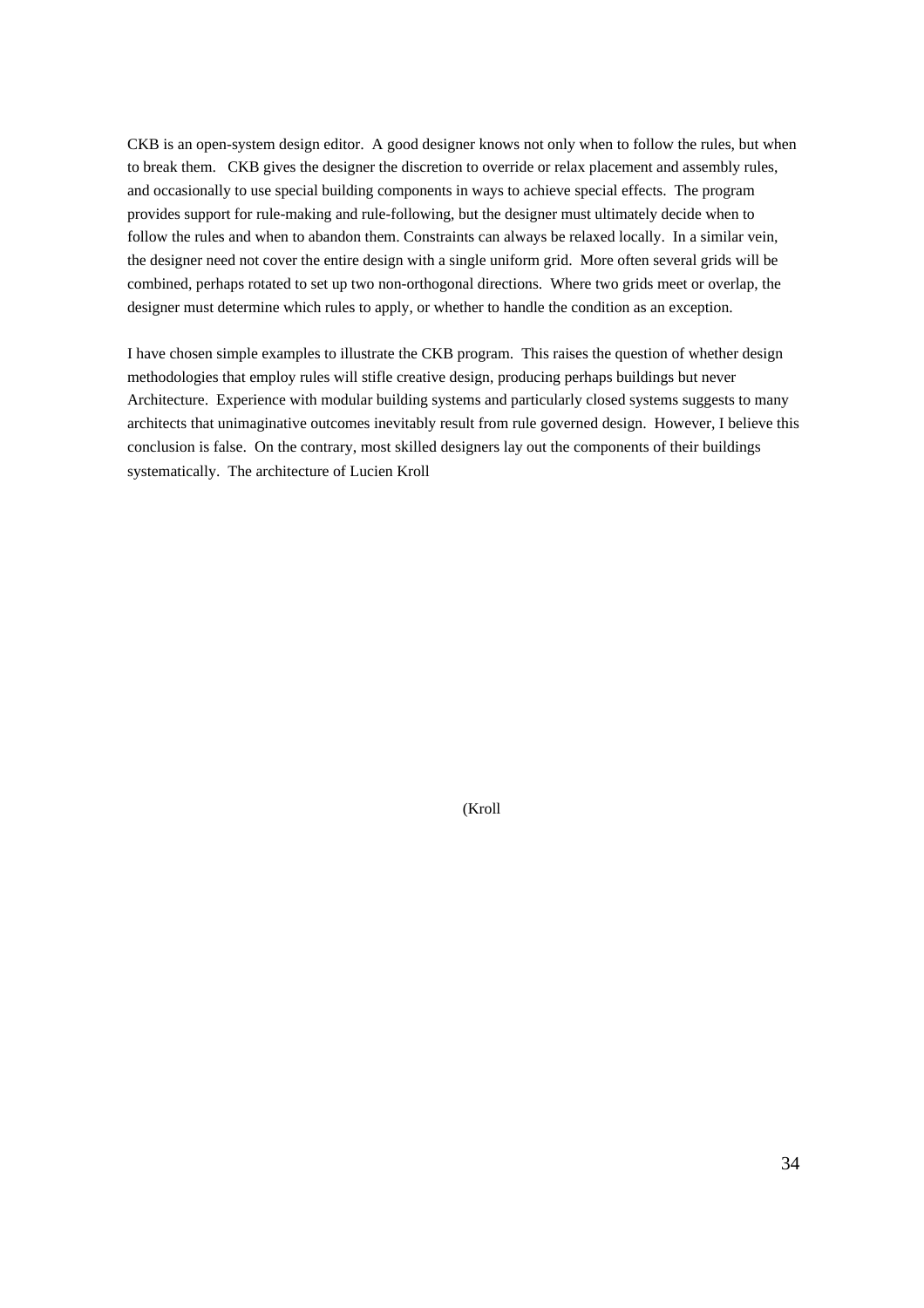CKB is an open-system design editor. A good designer knows not only when to follow the rules, but when to break them. CKB gives the designer the discretion to override or relax placement and assembly rules, and occasionally to use special building components in ways to achieve special effects. The program provides support for rule-making and rule-following, but the designer must ultimately decide when to follow the rules and when to abandon them. Constraints can always be relaxed locally. In a similar vein, the designer need not cover the entire design with a single uniform grid. More often several grids will be combined, perhaps rotated to set up two non-orthogonal directions. Where two grids meet or overlap, the designer must determine which rules to apply, or whether to handle the condition as an exception.

I have chosen simple examples to illustrate the CKB program. This raises the question of whether design methodologies that employ rules will stifle creative design, producing perhaps buildings but never Architecture. Experience with modular building systems and particularly closed systems suggests to many architects that unimaginative outcomes inevitably result from rule governed design. However, I believe this conclusion is false. On the contrary, most skilled designers lay out the components of their buildings systematically. The architecture of Lucien Kroll

(Kroll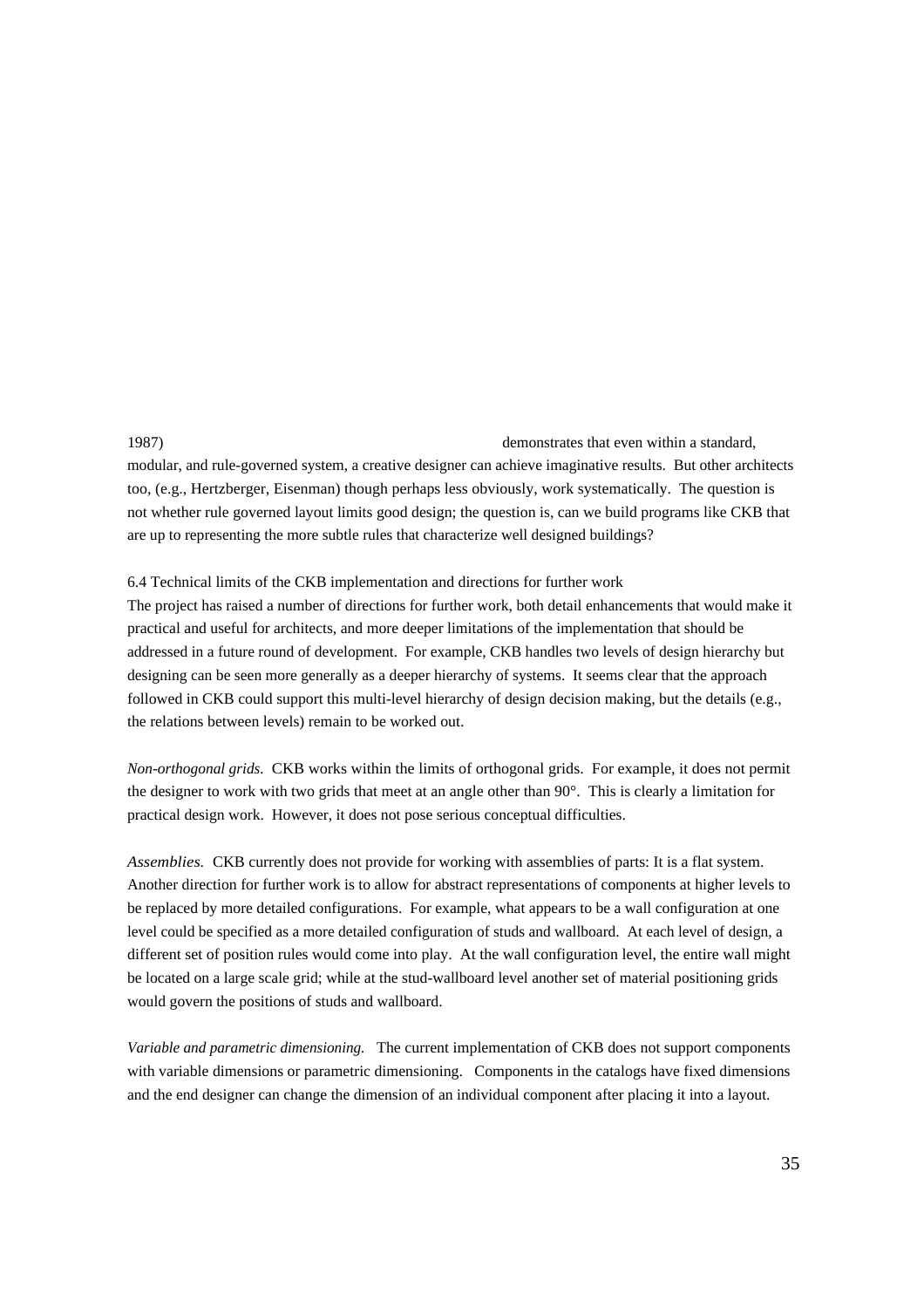1987) demonstrates that even within a standard,

modular, and rule-governed system, a creative designer can achieve imaginative results. But other architects too, (e.g., Hertzberger, Eisenman) though perhaps less obviously, work systematically. The question is not whether rule governed layout limits good design; the question is, can we build programs like CKB that are up to representing the more subtle rules that characterize well designed buildings?

## 6.4 Technical limits of the CKB implementation and directions for further work

The project has raised a number of directions for further work, both detail enhancements that would make it practical and useful for architects, and more deeper limitations of the implementation that should be addressed in a future round of development. For example, CKB handles two levels of design hierarchy but designing can be seen more generally as a deeper hierarchy of systems. It seems clear that the approach followed in CKB could support this multi-level hierarchy of design decision making, but the details (e.g., the relations between levels) remain to be worked out.

*Non-orthogonal grids.* CKB works within the limits of orthogonal grids. For example, it does not permit the designer to work with two grids that meet at an angle other than 90°. This is clearly a limitation for practical design work. However, it does not pose serious conceptual difficulties.

Assemblies. CKB currently does not provide for working with assemblies of parts: It is a flat system. Another direction for further work is to allow for abstract representations of components at higher levels to be replaced by more detailed configurations. For example, what appears to be a wall configuration at one level could be specified as a more detailed configuration of studs and wallboard. At each level of design, a different set of position rules would come into play. At the wall configuration level, the entire wall might be located on a large scale grid; while at the stud-wallboard level another set of material positioning grids would govern the positions of studs and wallboard.

*Variable and parametric dimensioning.* The current implementation of CKB does not support components with variable dimensions or parametric dimensioning. Components in the catalogs have fixed dimensions and the end designer can change the dimension of an individual component after placing it into a layout.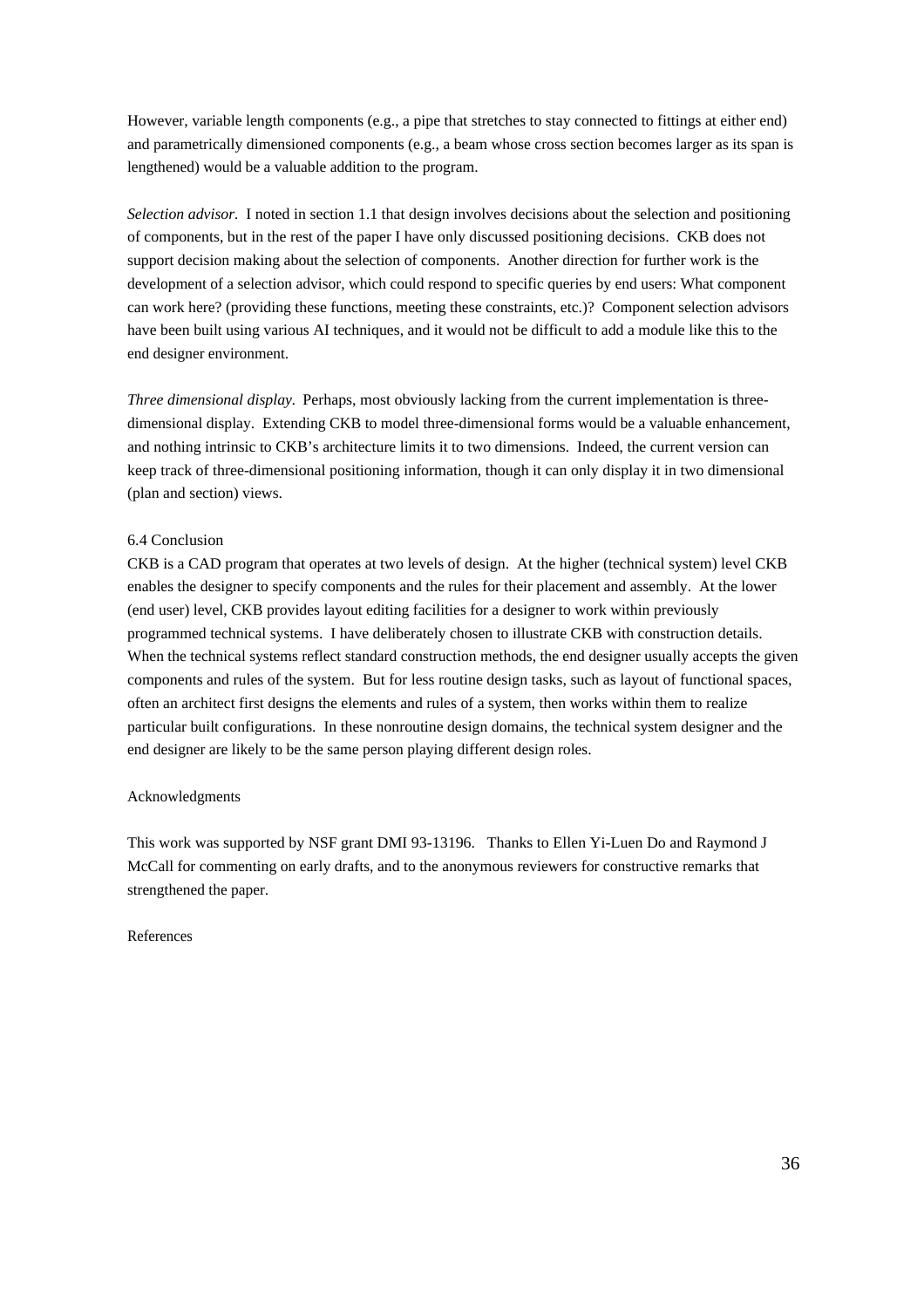However, variable length components (e.g., a pipe that stretches to stay connected to fittings at either end) and parametrically dimensioned components (e.g., a beam whose cross section becomes larger as its span is lengthened) would be a valuable addition to the program.

*Selection advisor.* I noted in section 1.1 that design involves decisions about the selection and positioning of components, but in the rest of the paper I have only discussed positioning decisions. CKB does not support decision making about the selection of components. Another direction for further work is the development of a selection advisor, which could respond to specific queries by end users: What component can work here? (providing these functions, meeting these constraints, etc.)? Component selection advisors have been built using various AI techniques, and it would not be difficult to add a module like this to the end designer environment.

*Three dimensional display.* Perhaps, most obviously lacking from the current implementation is threedimensional display. Extending CKB to model three-dimensional forms would be a valuable enhancement, and nothing intrinsic to CKB's architecture limits it to two dimensions. Indeed, the current version can keep track of three-dimensional positioning information, though it can only display it in two dimensional (plan and section) views.

## 6.4 Conclusion

CKB is a CAD program that operates at two levels of design. At the higher (technical system) level CKB enables the designer to specify components and the rules for their placement and assembly. At the lower (end user) level, CKB provides layout editing facilities for a designer to work within previously programmed technical systems. I have deliberately chosen to illustrate CKB with construction details. When the technical systems reflect standard construction methods, the end designer usually accepts the given components and rules of the system. But for less routine design tasks, such as layout of functional spaces, often an architect first designs the elements and rules of a system, then works within them to realize particular built configurations. In these nonroutine design domains, the technical system designer and the end designer are likely to be the same person playing different design roles.

#### Acknowledgments

This work was supported by NSF grant DMI 93-13196. Thanks to Ellen Yi-Luen Do and Raymond J McCall for commenting on early drafts, and to the anonymous reviewers for constructive remarks that strengthened the paper.

References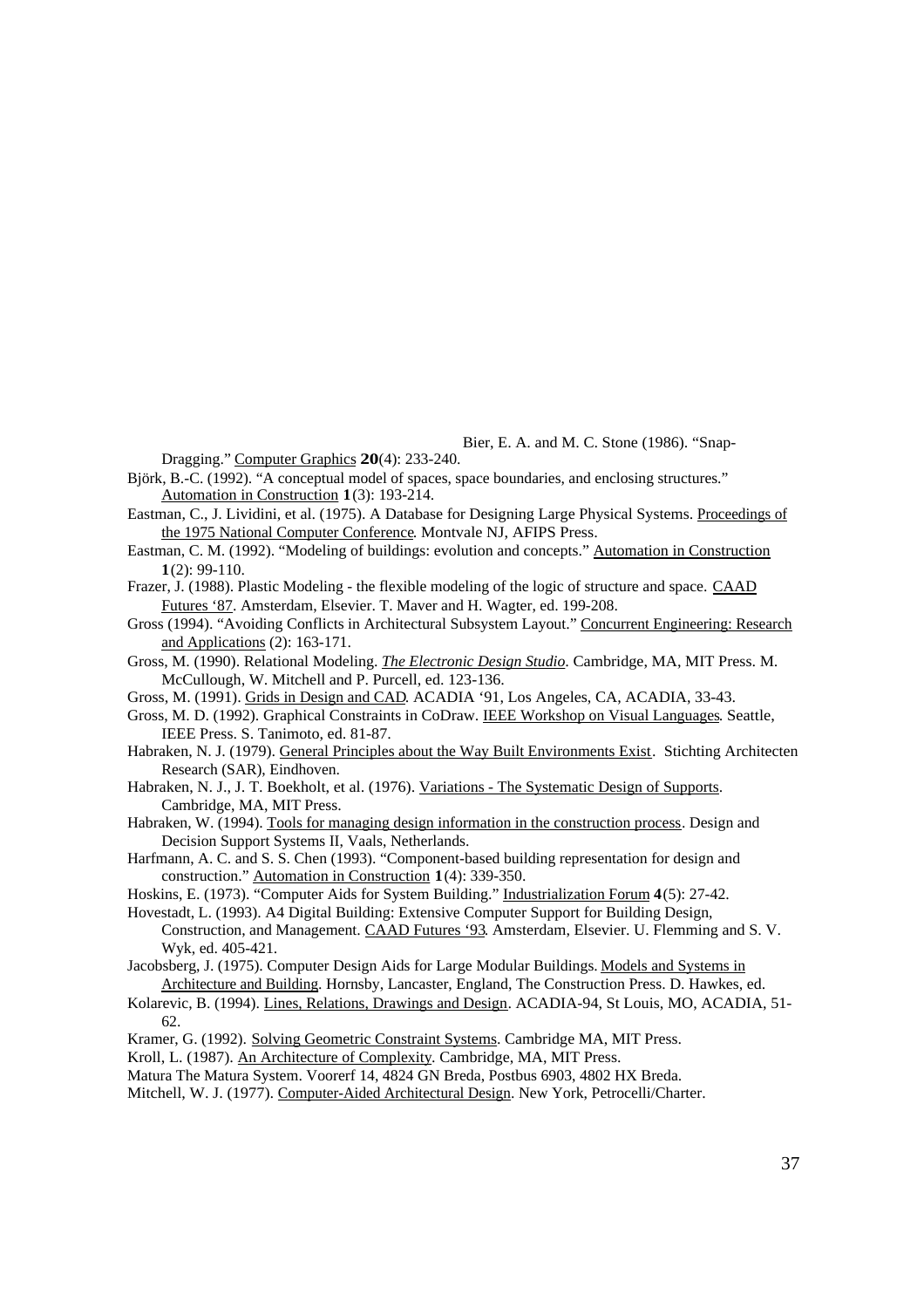Bier, E. A. and M. C. Stone (1986). "Snap-

- Dragging." Computer Graphics **20**(4): 233-240. Björk, B.-C. (1992). "A conceptual model of spaces, space boundaries, and enclosing structures." Automation in Construction **1**(3): 193-214.
- Eastman, C., J. Lividini, et al. (1975). A Database for Designing Large Physical Systems. Proceedings of the 1975 National Computer Conference . Montvale NJ, AFIPS Press.
- Eastman, C. M. (1992). "Modeling of buildings: evolution and concepts." Automation in Construction **1**(2): 99-110.
- Frazer, J. (1988). Plastic Modeling the flexible modeling of the logic of structure and space. CAAD Futures '87 . Amsterdam, Elsevier. T. Maver and H. Wagter, ed. 199-208.
- Gross (1994). "Avoiding Conflicts in Architectural Subsystem Layout." Concurrent Engineering: Research and Applications (2): 163-171.
- Gross, M. (1990). Relational Modeling. *The Electronic Design Studio* . Cambridge, MA, MIT Press. M. McCullough, W. Mitchell and P. Purcell, ed. 123-136.
- Gross, M. (1991). Grids in Design and CAD . ACADIA '91, Los Angeles, CA, ACADIA, 33-43.
- Gross, M. D. (1992). Graphical Constraints in CoDraw. IEEE Workshop on Visual Languages . Seattle, IEEE Press. S. Tanimoto, ed. 81-87.
- Habraken, N. J. (1979). General Principles about the Way Built Environments Exist. Stichting Architecten Research (SAR), Eindhoven.
- Habraken, N. J., J. T. Boekholt, et al. (1976). Variations The Systematic Design of Supports . Cambridge, MA, MIT Press.
- Habraken, W. (1994). Tools for managing design information in the construction process. Design and Decision Support Systems II, Vaals, Netherlands.
- Harfmann, A. C. and S. S. Chen (1993). "Component-based building representation for design and construction." Automation in Construction **1**(4): 339-350.
- Hoskins, E. (1973). "Computer Aids for System Building." Industrialization Forum **4**(5): 27-42.
- Hovestadt, L. (1993). A4 Digital Building: Extensive Computer Support for Building Design, Construction, and Management. CAAD Futures '93 . Amsterdam, Elsevier. U. Flemming and S. V. Wyk, ed. 405-421.
- Jacobsberg, J. (1975). Computer Design Aids for Large Modular Buildings. Models and Systems in Architecture and Building . Hornsby, Lancaster, England, The Construction Press. D. Hawkes, ed.
- Kolarevic, B. (1994). Lines, Relations, Drawings and Design . ACADIA-94, St Louis, MO, ACADIA, 51- 62.
- Kramer, G. (1992). Solving Geometric Constraint Systems . Cambridge MA, MIT Press.
- Kroll, L. (1987). An Architecture of Complexity. Cambridge, MA, MIT Press.
- Matura The Matura System. Voorerf 14, 4824 GN Breda, Postbus 6903, 4802 HX Breda.

Mitchell, W. J. (1977). Computer-Aided Architectural Design. New York, Petrocelli/Charter.